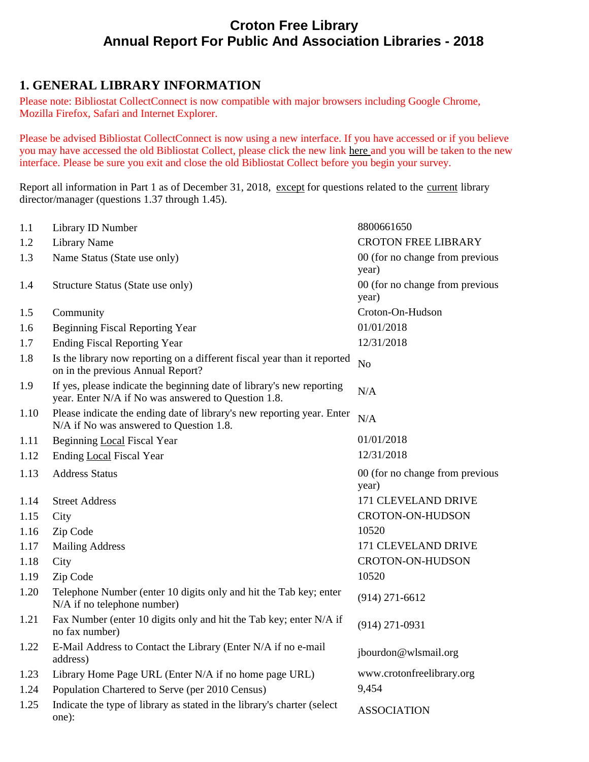# **Croton Free Library Annual Report For Public And Association Libraries - 2018**

# **1. GENERAL LIBRARY INFORMATION**

Please note: Bibliostat CollectConnect is now compatible with major browsers including Google Chrome, Mozilla Firefox, Safari and Internet Explorer.

Please be advised Bibliostat CollectConnect is now using a new interface. If you have accessed or if you believe you may have accessed the old Bibliostat Collect, please click the new link here and you will be taken to the new interface. Please be sure you exit and close the old Bibliostat Collect before you begin your survey.

Report all information in Part 1 as of December 31, 2018, except for questions related to the current library director/manager (questions 1.37 through 1.45).

| 1.1  | Library ID Number                                                                                                            | 8800661650                               |
|------|------------------------------------------------------------------------------------------------------------------------------|------------------------------------------|
| 1.2  | <b>Library Name</b>                                                                                                          | <b>CROTON FREE LIBRARY</b>               |
| 1.3  | Name Status (State use only)                                                                                                 | 00 (for no change from previous<br>year) |
| 1.4  | Structure Status (State use only)                                                                                            | 00 (for no change from previous<br>year) |
| 1.5  | Community                                                                                                                    | Croton-On-Hudson                         |
| 1.6  | <b>Beginning Fiscal Reporting Year</b>                                                                                       | 01/01/2018                               |
| 1.7  | <b>Ending Fiscal Reporting Year</b>                                                                                          | 12/31/2018                               |
| 1.8  | Is the library now reporting on a different fiscal year than it reported<br>on in the previous Annual Report?                | N <sub>o</sub>                           |
| 1.9  | If yes, please indicate the beginning date of library's new reporting<br>year. Enter N/A if No was answered to Question 1.8. | N/A                                      |
| 1.10 | Please indicate the ending date of library's new reporting year. Enter<br>N/A if No was answered to Question 1.8.            | N/A                                      |
| 1.11 | <b>Beginning Local Fiscal Year</b>                                                                                           | 01/01/2018                               |
| 1.12 | <b>Ending Local Fiscal Year</b>                                                                                              | 12/31/2018                               |
| 1.13 | <b>Address Status</b>                                                                                                        | 00 (for no change from previous<br>year) |
| 1.14 | <b>Street Address</b>                                                                                                        | 171 CLEVELAND DRIVE                      |
| 1.15 | City                                                                                                                         | CROTON-ON-HUDSON                         |
| 1.16 | Zip Code                                                                                                                     | 10520                                    |
| 1.17 | <b>Mailing Address</b>                                                                                                       | 171 CLEVELAND DRIVE                      |
| 1.18 | City                                                                                                                         | CROTON-ON-HUDSON                         |
| 1.19 | Zip Code                                                                                                                     | 10520                                    |
| 1.20 | Telephone Number (enter 10 digits only and hit the Tab key; enter<br>N/A if no telephone number)                             | $(914)$ 271-6612                         |
| 1.21 | Fax Number (enter 10 digits only and hit the Tab key; enter N/A if<br>no fax number)                                         | $(914)$ 271-0931                         |
| 1.22 | E-Mail Address to Contact the Library (Enter N/A if no e-mail<br>address)                                                    | jbourdon@wlsmail.org                     |
| 1.23 | Library Home Page URL (Enter N/A if no home page URL)                                                                        | www.crotonfreelibrary.org                |
| 1.24 | Population Chartered to Serve (per 2010 Census)                                                                              | 9,454                                    |
| 1.25 | Indicate the type of library as stated in the library's charter (select<br>one):                                             | <b>ASSOCIATION</b>                       |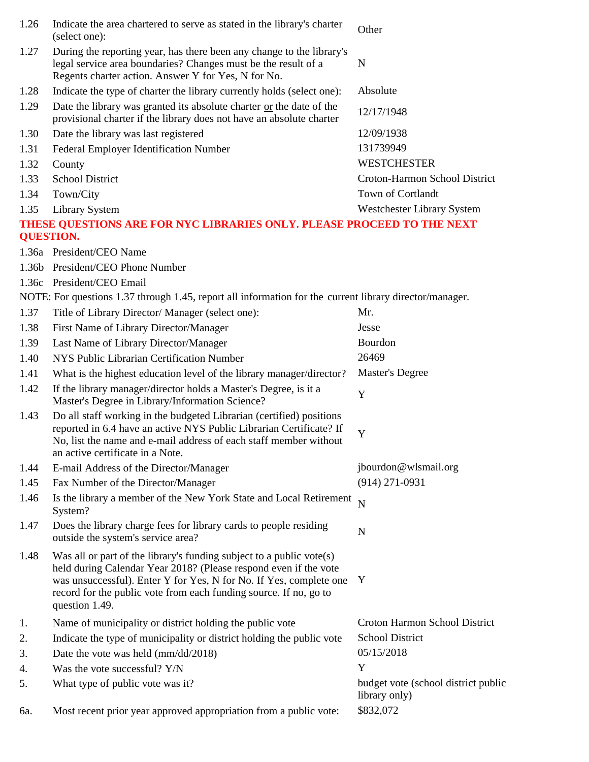| 1.26 | Indicate the area chartered to serve as stated in the library's charter<br>(select one):                                                                                                                                                                                                              | Other                                                |
|------|-------------------------------------------------------------------------------------------------------------------------------------------------------------------------------------------------------------------------------------------------------------------------------------------------------|------------------------------------------------------|
| 1.27 | During the reporting year, has there been any change to the library's<br>legal service area boundaries? Changes must be the result of a<br>Regents charter action. Answer Y for Yes, N for No.                                                                                                        | N                                                    |
| 1.28 | Indicate the type of charter the library currently holds (select one):                                                                                                                                                                                                                                | Absolute                                             |
| 1.29 | Date the library was granted its absolute charter or the date of the<br>provisional charter if the library does not have an absolute charter                                                                                                                                                          | 12/17/1948                                           |
| 1.30 | Date the library was last registered                                                                                                                                                                                                                                                                  | 12/09/1938                                           |
| 1.31 | Federal Employer Identification Number                                                                                                                                                                                                                                                                | 131739949                                            |
| 1.32 | County                                                                                                                                                                                                                                                                                                | <b>WESTCHESTER</b>                                   |
| 1.33 | <b>School District</b>                                                                                                                                                                                                                                                                                | Croton-Harmon School District                        |
| 1.34 | Town/City                                                                                                                                                                                                                                                                                             | Town of Cortlandt                                    |
| 1.35 | <b>Library System</b>                                                                                                                                                                                                                                                                                 | Westchester Library System                           |
|      | THESE QUESTIONS ARE FOR NYC LIBRARIES ONLY. PLEASE PROCEED TO THE NEXT<br><b>QUESTION.</b>                                                                                                                                                                                                            |                                                      |
|      | 1.36a President/CEO Name                                                                                                                                                                                                                                                                              |                                                      |
|      | 1.36b President/CEO Phone Number                                                                                                                                                                                                                                                                      |                                                      |
|      | 1.36c President/CEO Email                                                                                                                                                                                                                                                                             |                                                      |
|      | NOTE: For questions 1.37 through 1.45, report all information for the current library director/manager.                                                                                                                                                                                               |                                                      |
| 1.37 | Title of Library Director/ Manager (select one):                                                                                                                                                                                                                                                      | Mr.                                                  |
| 1.38 | First Name of Library Director/Manager                                                                                                                                                                                                                                                                | Jesse                                                |
| 1.39 | Last Name of Library Director/Manager                                                                                                                                                                                                                                                                 | Bourdon                                              |
| 1.40 | NYS Public Librarian Certification Number                                                                                                                                                                                                                                                             | 26469                                                |
| 1.41 | What is the highest education level of the library manager/director?                                                                                                                                                                                                                                  | <b>Master's Degree</b>                               |
| 1.42 | If the library manager/director holds a Master's Degree, is it a<br>Master's Degree in Library/Information Science?                                                                                                                                                                                   | Y                                                    |
| 1.43 | Do all staff working in the budgeted Librarian (certified) positions<br>reported in 6.4 have an active NYS Public Librarian Certificate? If<br>No, list the name and e-mail address of each staff member without<br>an active certificate in a Note.                                                  | Y                                                    |
| 1.44 | E-mail Address of the Director/Manager                                                                                                                                                                                                                                                                | jbourdon@wlsmail.org                                 |
| 1.45 | Fax Number of the Director/Manager                                                                                                                                                                                                                                                                    | $(914)$ 271-0931                                     |
| 1.46 | Is the library a member of the New York State and Local Retirement<br>System?                                                                                                                                                                                                                         | $\overline{N}$                                       |
| 1.47 | Does the library charge fees for library cards to people residing<br>outside the system's service area?                                                                                                                                                                                               | $\mathbf N$                                          |
| 1.48 | Was all or part of the library's funding subject to a public vote(s)<br>held during Calendar Year 2018? (Please respond even if the vote<br>was unsuccessful). Enter Y for Yes, N for No. If Yes, complete one<br>record for the public vote from each funding source. If no, go to<br>question 1.49. | Y                                                    |
| 1.   | Name of municipality or district holding the public vote                                                                                                                                                                                                                                              | Croton Harmon School District                        |
| 2.   | Indicate the type of municipality or district holding the public vote                                                                                                                                                                                                                                 | <b>School District</b>                               |
| 3.   | Date the vote was held (mm/dd/2018)                                                                                                                                                                                                                                                                   | 05/15/2018                                           |
| 4.   | Was the vote successful? Y/N                                                                                                                                                                                                                                                                          | Y                                                    |
| 5.   | What type of public vote was it?                                                                                                                                                                                                                                                                      | budget vote (school district public<br>library only) |
| 6a.  | Most recent prior year approved appropriation from a public vote:                                                                                                                                                                                                                                     | \$832,072                                            |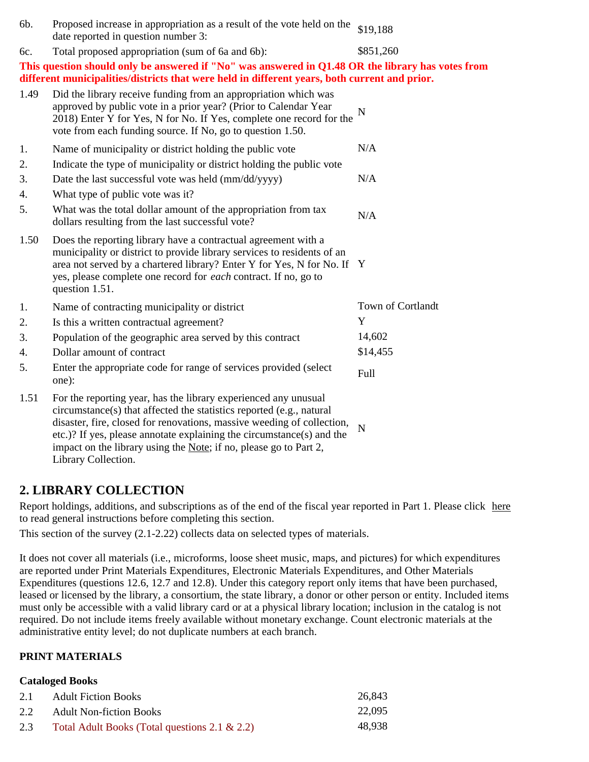| 6b.  | Proposed increase in appropriation as a result of the vote held on the<br>date reported in question number 3:                                                                                                                                                                                                                                                                          | \$19,188          |
|------|----------------------------------------------------------------------------------------------------------------------------------------------------------------------------------------------------------------------------------------------------------------------------------------------------------------------------------------------------------------------------------------|-------------------|
| 6c.  | Total proposed appropriation (sum of 6a and 6b):                                                                                                                                                                                                                                                                                                                                       | \$851,260         |
|      | This question should only be answered if "No" was answered in Q1.48 OR the library has votes from<br>different municipalities/districts that were held in different years, both current and prior.                                                                                                                                                                                     |                   |
| 1.49 | Did the library receive funding from an appropriation which was<br>approved by public vote in a prior year? (Prior to Calendar Year<br>2018) Enter Y for Yes, N for No. If Yes, complete one record for the<br>vote from each funding source. If No, go to question 1.50.                                                                                                              | N                 |
| 1.   | Name of municipality or district holding the public vote                                                                                                                                                                                                                                                                                                                               | N/A               |
| 2.   | Indicate the type of municipality or district holding the public vote                                                                                                                                                                                                                                                                                                                  |                   |
| 3.   | Date the last successful vote was held (mm/dd/yyyy)                                                                                                                                                                                                                                                                                                                                    | N/A               |
| 4.   | What type of public vote was it?                                                                                                                                                                                                                                                                                                                                                       |                   |
| 5.   | What was the total dollar amount of the appropriation from tax<br>dollars resulting from the last successful vote?                                                                                                                                                                                                                                                                     | N/A               |
| 1.50 | Does the reporting library have a contractual agreement with a<br>municipality or district to provide library services to residents of an<br>area not served by a chartered library? Enter Y for Yes, N for No. If Y<br>yes, please complete one record for each contract. If no, go to<br>question 1.51.                                                                              |                   |
| 1.   | Name of contracting municipality or district                                                                                                                                                                                                                                                                                                                                           | Town of Cortlandt |
| 2.   | Is this a written contractual agreement?                                                                                                                                                                                                                                                                                                                                               | Y                 |
| 3.   | Population of the geographic area served by this contract                                                                                                                                                                                                                                                                                                                              | 14,602            |
| 4.   | Dollar amount of contract                                                                                                                                                                                                                                                                                                                                                              | \$14,455          |
| 5.   | Enter the appropriate code for range of services provided (select<br>one):                                                                                                                                                                                                                                                                                                             | Full              |
| 1.51 | For the reporting year, has the library experienced any unusual<br>circumstance(s) that affected the statistics reported (e.g., natural<br>disaster, fire, closed for renovations, massive weeding of collection,<br>etc.)? If yes, please annotate explaining the circumstance(s) and the<br>impact on the library using the Note; if no, please go to Part 2,<br>Library Collection. | N                 |

# **2. LIBRARY COLLECTION**

Report holdings, additions, and subscriptions as of the end of the fiscal year reported in Part 1. Please click here to read general instructions before completing this section.

This section of the survey (2.1-2.22) collects data on selected types of materials.

It does not cover all materials (i.e., microforms, loose sheet music, maps, and pictures) for which expenditures are reported under Print Materials Expenditures, Electronic Materials Expenditures, and Other Materials Expenditures (questions 12.6, 12.7 and 12.8). Under this category report only items that have been purchased, leased or licensed by the library, a consortium, the state library, a donor or other person or entity. Included items must only be accessible with a valid library card or at a physical library location; inclusion in the catalog is not required. Do not include items freely available without monetary exchange. Count electronic materials at the administrative entity level; do not duplicate numbers at each branch.

### **PRINT MATERIALS**

#### **Cataloged Books**

| 2.1 | <b>Adult Fiction Books</b>                       | 26,843 |
|-----|--------------------------------------------------|--------|
| 2.2 | <b>Adult Non-fiction Books</b>                   | 22,095 |
| 2.3 | Total Adult Books (Total questions 2.1 $\&$ 2.2) | 48.938 |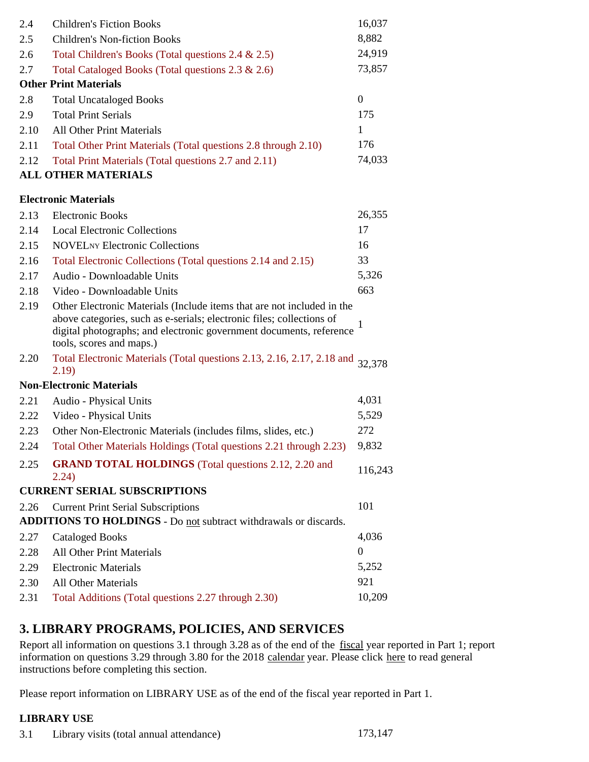| 2.4  | <b>Children's Fiction Books</b>                                                                                                                                                                                                                    | 16,037           |
|------|----------------------------------------------------------------------------------------------------------------------------------------------------------------------------------------------------------------------------------------------------|------------------|
| 2.5  | <b>Children's Non-fiction Books</b>                                                                                                                                                                                                                | 8,882            |
| 2.6  | Total Children's Books (Total questions 2.4 & 2.5)                                                                                                                                                                                                 | 24,919           |
| 2.7  | Total Cataloged Books (Total questions 2.3 & 2.6)                                                                                                                                                                                                  | 73,857           |
|      | <b>Other Print Materials</b>                                                                                                                                                                                                                       |                  |
| 2.8  | <b>Total Uncataloged Books</b>                                                                                                                                                                                                                     | $\boldsymbol{0}$ |
| 2.9  | <b>Total Print Serials</b>                                                                                                                                                                                                                         | 175              |
| 2.10 | <b>All Other Print Materials</b>                                                                                                                                                                                                                   | 1                |
| 2.11 | Total Other Print Materials (Total questions 2.8 through 2.10)                                                                                                                                                                                     | 176              |
| 2.12 | Total Print Materials (Total questions 2.7 and 2.11)                                                                                                                                                                                               | 74,033           |
|      | <b>ALL OTHER MATERIALS</b>                                                                                                                                                                                                                         |                  |
|      | <b>Electronic Materials</b>                                                                                                                                                                                                                        |                  |
| 2.13 | <b>Electronic Books</b>                                                                                                                                                                                                                            | 26,355           |
| 2.14 | <b>Local Electronic Collections</b>                                                                                                                                                                                                                | 17               |
| 2.15 | <b>NOVEL</b> NY Electronic Collections                                                                                                                                                                                                             | 16               |
| 2.16 | Total Electronic Collections (Total questions 2.14 and 2.15)                                                                                                                                                                                       | 33               |
| 2.17 | Audio - Downloadable Units                                                                                                                                                                                                                         | 5,326            |
| 2.18 | Video - Downloadable Units                                                                                                                                                                                                                         | 663              |
| 2.19 | Other Electronic Materials (Include items that are not included in the<br>above categories, such as e-serials; electronic files; collections of<br>digital photographs; and electronic government documents, reference<br>tools, scores and maps.) |                  |
| 2.20 | Total Electronic Materials (Total questions 2.13, 2.16, 2.17, 2.18 and<br>2.19)                                                                                                                                                                    | 32,378           |
|      | <b>Non-Electronic Materials</b>                                                                                                                                                                                                                    |                  |
| 2.21 | Audio - Physical Units                                                                                                                                                                                                                             | 4,031            |
| 2.22 | Video - Physical Units                                                                                                                                                                                                                             | 5,529            |
| 2.23 | Other Non-Electronic Materials (includes films, slides, etc.)                                                                                                                                                                                      | 272              |
| 2.24 | Total Other Materials Holdings (Total questions 2.21 through 2.23)                                                                                                                                                                                 | 9,832            |
| 2.25 | <b>GRAND TOTAL HOLDINGS</b> (Total questions 2.12, 2.20 and<br>2.24)                                                                                                                                                                               | 116,243          |
|      | <b>CURRENT SERIAL SUBSCRIPTIONS</b>                                                                                                                                                                                                                |                  |
| 2.26 | <b>Current Print Serial Subscriptions</b>                                                                                                                                                                                                          | 101              |
|      | ADDITIONS TO HOLDINGS - Do not subtract withdrawals or discards.                                                                                                                                                                                   |                  |
| 2.27 | <b>Cataloged Books</b>                                                                                                                                                                                                                             | 4,036            |
| 2.28 | <b>All Other Print Materials</b>                                                                                                                                                                                                                   | $\boldsymbol{0}$ |
| 2.29 | <b>Electronic Materials</b>                                                                                                                                                                                                                        | 5,252            |
| 2.30 | <b>All Other Materials</b>                                                                                                                                                                                                                         | 921              |
| 2.31 | Total Additions (Total questions 2.27 through 2.30)                                                                                                                                                                                                | 10,209           |

# **3. LIBRARY PROGRAMS, POLICIES, AND SERVICES**

Report all information on questions 3.1 through 3.28 as of the end of the fiscal year reported in Part 1; report information on questions 3.29 through 3.80 for the 2018 calendar year. Please click here to read general instructions before completing this section.

Please report information on LIBRARY USE as of the end of the fiscal year reported in Part 1.

### **LIBRARY USE**

3.1 Library visits (total annual attendance) 173,147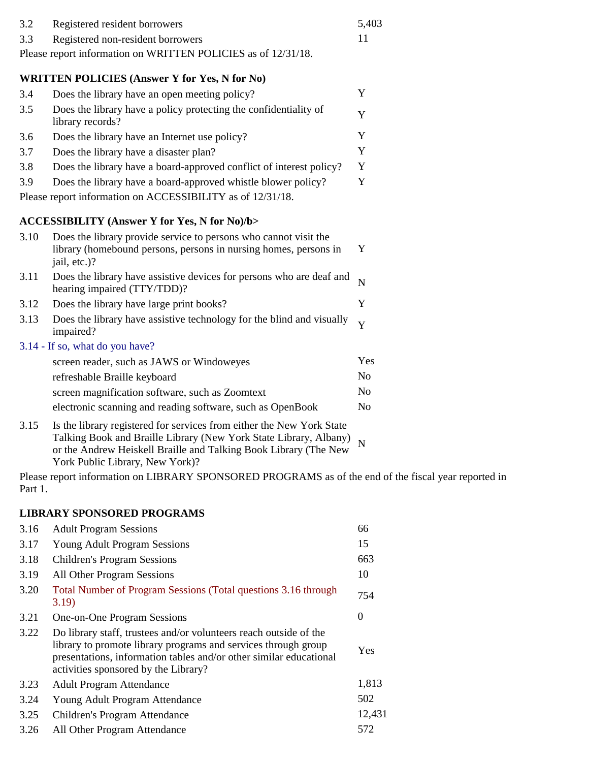| 3.2 | Registered resident borrowers                                 | 5.403 |
|-----|---------------------------------------------------------------|-------|
| 3.3 | Registered non-resident borrowers                             |       |
|     | Please report information on WRITTEN POLICIES as of 12/31/18. |       |

### **WRITTEN POLICIES (Answer Y for Yes, N for No)**

| 3.4 | Does the library have an open meeting policy?                                        |   |
|-----|--------------------------------------------------------------------------------------|---|
| 3.5 | Does the library have a policy protecting the confidentiality of<br>library records? |   |
| 3.6 | Does the library have an Internet use policy?                                        |   |
| 3.7 | Does the library have a disaster plan?                                               | Y |
| 3.8 | Does the library have a board-approved conflict of interest policy?                  | Y |
| 3.9 | Does the library have a board-approved whistle blower policy?                        |   |
|     | Please report information on ACCESSIBILITY as of 12/31/18.                           |   |

### **ACCESSIBILITY (Answer Y for Yes, N for No)/b>**

| 3.10 | Does the library provide service to persons who cannot visit the<br>library (homebound persons, persons in nursing homes, persons in<br>jail, etc.)?                                                           | Y              |
|------|----------------------------------------------------------------------------------------------------------------------------------------------------------------------------------------------------------------|----------------|
| 3.11 | Does the library have assistive devices for persons who are deaf and<br>hearing impaired (TTY/TDD)?                                                                                                            | N              |
| 3.12 | Does the library have large print books?                                                                                                                                                                       | Y              |
| 3.13 | Does the library have assistive technology for the blind and visually<br>impaired?                                                                                                                             | Y              |
|      | 3.14 - If so, what do you have?                                                                                                                                                                                |                |
|      | screen reader, such as JAWS or Windoweyes                                                                                                                                                                      | <b>Yes</b>     |
|      | refreshable Braille keyboard                                                                                                                                                                                   | N <sub>0</sub> |
|      | screen magnification software, such as Zoomtext                                                                                                                                                                | N <sub>0</sub> |
|      | electronic scanning and reading software, such as OpenBook                                                                                                                                                     | N <sub>0</sub> |
| 3.15 | Is the library registered for services from either the New York State<br>Talking Book and Braille Library (New York State Library, Albany)<br>or the Andrew Heiskell Braille and Talking Book Library (The New |                |

Please report information on LIBRARY SPONSORED PROGRAMS as of the end of the fiscal year reported in Part 1.

#### **LIBRARY SPONSORED PROGRAMS**

York Public Library, New York)?

| 3.16 | <b>Adult Program Sessions</b>                                                                                                                                                                                                                     | 66             |
|------|---------------------------------------------------------------------------------------------------------------------------------------------------------------------------------------------------------------------------------------------------|----------------|
| 3.17 | <b>Young Adult Program Sessions</b>                                                                                                                                                                                                               | 15             |
| 3.18 | <b>Children's Program Sessions</b>                                                                                                                                                                                                                | 663            |
| 3.19 | All Other Program Sessions                                                                                                                                                                                                                        | 10             |
| 3.20 | Total Number of Program Sessions (Total questions 3.16 through<br>3.19)                                                                                                                                                                           | 754            |
| 3.21 | One-on-One Program Sessions                                                                                                                                                                                                                       | $\overline{0}$ |
| 3.22 | Do library staff, trustees and/or volunteers reach outside of the<br>library to promote library programs and services through group<br>presentations, information tables and/or other similar educational<br>activities sponsored by the Library? | Yes            |
| 3.23 | <b>Adult Program Attendance</b>                                                                                                                                                                                                                   | 1,813          |
| 3.24 | Young Adult Program Attendance                                                                                                                                                                                                                    | 502            |
| 3.25 | Children's Program Attendance                                                                                                                                                                                                                     | 12,431         |
| 3.26 | All Other Program Attendance                                                                                                                                                                                                                      | 572            |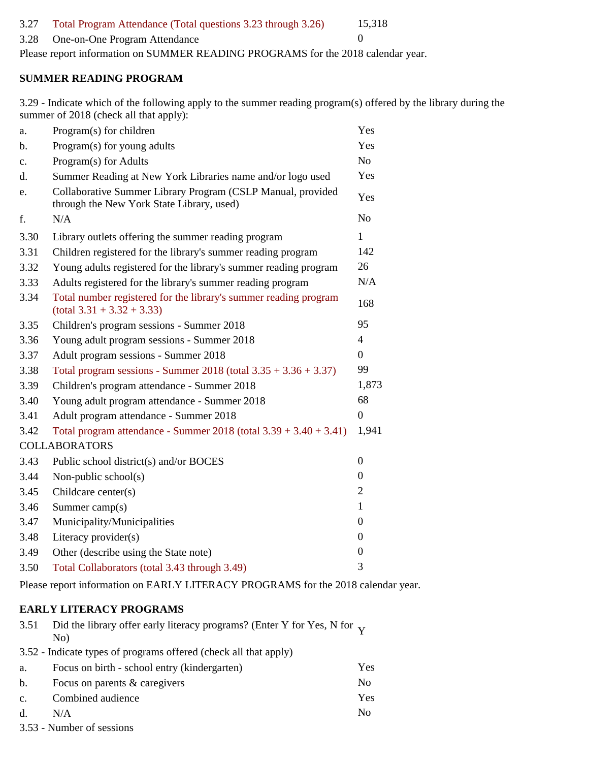#### 3.27 Total Program Attendance (Total questions 3.23 through 3.26) 15,318

#### 3.28 One-on-One Program Attendance 0

Please report information on SUMMER READING PROGRAMS for the 2018 calendar year.

#### **SUMMER READING PROGRAM**

3.29 - Indicate which of the following apply to the summer reading program(s) offered by the library during the summer of 2018 (check all that apply):

| a.   | Program(s) for children                                                                                  | Yes              |
|------|----------------------------------------------------------------------------------------------------------|------------------|
| b.   | Program(s) for young adults                                                                              | Yes              |
| c.   | Program(s) for Adults                                                                                    | No               |
| d.   | Summer Reading at New York Libraries name and/or logo used                                               | Yes              |
| e.   | Collaborative Summer Library Program (CSLP Manual, provided<br>through the New York State Library, used) | Yes              |
| f.   | N/A                                                                                                      | No               |
| 3.30 | Library outlets offering the summer reading program                                                      | $\mathbf{1}$     |
| 3.31 | Children registered for the library's summer reading program                                             | 142              |
| 3.32 | Young adults registered for the library's summer reading program                                         | 26               |
| 3.33 | Adults registered for the library's summer reading program                                               | N/A              |
| 3.34 | Total number registered for the library's summer reading program<br>$(total 3.31 + 3.32 + 3.33)$         | 168              |
| 3.35 | Children's program sessions - Summer 2018                                                                | 95               |
| 3.36 | Young adult program sessions - Summer 2018                                                               | 4                |
| 3.37 | Adult program sessions - Summer 2018                                                                     | $\overline{0}$   |
| 3.38 | Total program sessions - Summer 2018 (total $3.35 + 3.36 + 3.37$ )                                       | 99               |
| 3.39 | Children's program attendance - Summer 2018                                                              | 1,873            |
| 3.40 | Young adult program attendance - Summer 2018                                                             | 68               |
| 3.41 | Adult program attendance - Summer 2018                                                                   | $\boldsymbol{0}$ |
| 3.42 | Total program attendance - Summer $2018$ (total $3.39 + 3.40 + 3.41$ )                                   | 1,941            |
|      | <b>COLLABORATORS</b>                                                                                     |                  |
| 3.43 | Public school district(s) and/or BOCES                                                                   | $\boldsymbol{0}$ |
| 3.44 | Non-public school $(s)$                                                                                  | $\boldsymbol{0}$ |
| 3.45 | Childcare center(s)                                                                                      | 2                |
| 3.46 | Summer camp(s)                                                                                           | 1                |
| 3.47 | Municipality/Municipalities                                                                              | $\boldsymbol{0}$ |
| 3.48 | Literacy provider(s)                                                                                     | $\boldsymbol{0}$ |
| 3.49 | Other (describe using the State note)                                                                    | $\boldsymbol{0}$ |
| 3.50 | Total Collaborators (total 3.43 through 3.49)                                                            | 3                |

Please report information on EARLY LITERACY PROGRAMS for the 2018 calendar year.

#### **EARLY LITERACY PROGRAMS**

| 3.51           | Did the library offer early literacy programs? (Enter Y for Yes, N for $_{\rm V}$ |     |
|----------------|-----------------------------------------------------------------------------------|-----|
|                | No)                                                                               |     |
|                | 3.52 - Indicate types of programs offered (check all that apply)                  |     |
| а.             | Focus on birth - school entry (kindergarten)                                      | Yes |
| b.             | Focus on parents & caregivers                                                     | No  |
| $\mathbf{c}$ . | Combined audience                                                                 | Yes |
| d.             | N/A                                                                               | No  |

3.53 - Number of sessions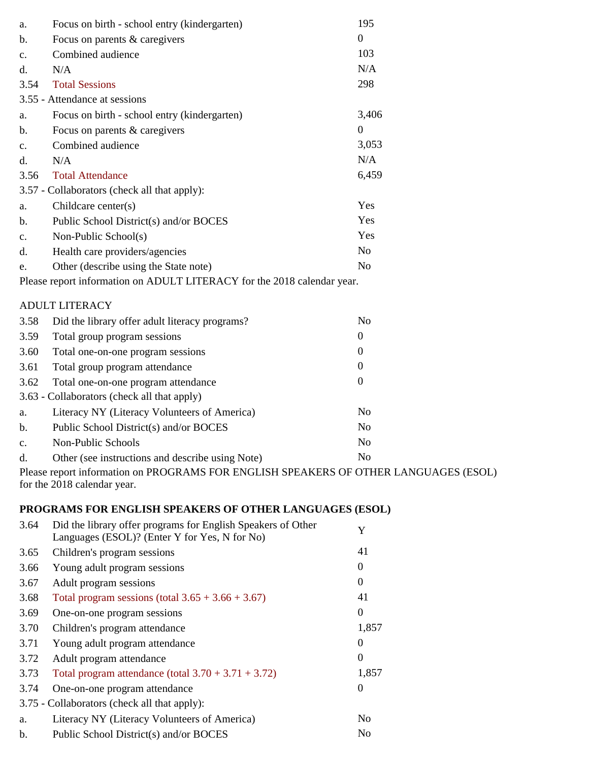| a.                                                                      | Focus on birth - school entry (kindergarten)     | 195              |
|-------------------------------------------------------------------------|--------------------------------------------------|------------------|
| b.                                                                      | Focus on parents & caregivers                    | $\mathbf{0}$     |
| $\mathbf{c}$ .                                                          | Combined audience                                | 103              |
| d.                                                                      | N/A                                              | N/A              |
| 3.54                                                                    | <b>Total Sessions</b>                            | 298              |
|                                                                         | 3.55 - Attendance at sessions                    |                  |
| a.                                                                      | Focus on birth - school entry (kindergarten)     | 3,406            |
| b.                                                                      | Focus on parents & caregivers                    | $\mathbf{0}$     |
| $\mathbf{c}$ .                                                          | Combined audience                                | 3,053            |
| d.                                                                      | N/A                                              | N/A              |
| 3.56                                                                    | <b>Total Attendance</b>                          | 6,459            |
|                                                                         | 3.57 - Collaborators (check all that apply):     |                  |
| a.                                                                      | Childcare center(s)                              | Yes              |
| b.                                                                      | Public School District(s) and/or BOCES           | Yes              |
| $\mathbf{c}$ .                                                          | Non-Public School(s)                             | Yes              |
| d.                                                                      | Health care providers/agencies                   | N <sub>o</sub>   |
| e.                                                                      | Other (describe using the State note)            | N <sub>o</sub>   |
| Please report information on ADULT LITERACY for the 2018 calendar year. |                                                  |                  |
|                                                                         | <b>ADULT LITERACY</b>                            |                  |
| 3.58                                                                    | Did the library offer adult literacy programs?   | N <sub>o</sub>   |
| 3.59                                                                    | Total group program sessions                     | $\overline{0}$   |
| 3.60                                                                    | Total one-on-one program sessions                | $\overline{0}$   |
| 3.61                                                                    | Total group program attendance                   | $\mathbf{0}$     |
| 3.62                                                                    | Total one-on-one program attendance              | $\boldsymbol{0}$ |
|                                                                         | 3.63 - Collaborators (check all that apply)      |                  |
| a.                                                                      | Literacy NY (Literacy Volunteers of America)     | N <sub>o</sub>   |
| b.                                                                      | Public School District(s) and/or BOCES           | N <sub>o</sub>   |
| $C_{\bullet}$                                                           | Non-Public Schools                               | N <sub>o</sub>   |
| d.                                                                      | Other (see instructions and describe using Note) | N <sub>o</sub>   |
|                                                                         |                                                  |                  |

Please report information on PROGRAMS FOR ENGLISH SPEAKERS OF OTHER LANGUAGES (ESOL) for the 2018 calendar year.

## **PROGRAMS FOR ENGLISH SPEAKERS OF OTHER LANGUAGES (ESOL)**

| 3.64 | Did the library offer programs for English Speakers of Other<br>Languages (ESOL)? (Enter Y for Yes, N for No) | Y                |
|------|---------------------------------------------------------------------------------------------------------------|------------------|
| 3.65 | Children's program sessions                                                                                   | 41               |
| 3.66 | Young adult program sessions                                                                                  | $\Omega$         |
| 3.67 | Adult program sessions                                                                                        | $\theta$         |
| 3.68 | Total program sessions (total $3.65 + 3.66 + 3.67$ )                                                          | 41               |
| 3.69 | One-on-one program sessions                                                                                   | $\Omega$         |
| 3.70 | Children's program attendance                                                                                 | 1,857            |
| 3.71 | Young adult program attendance                                                                                | $\Omega$         |
| 3.72 | Adult program attendance                                                                                      | $\Omega$         |
| 3.73 | Total program attendance (total $3.70 + 3.71 + 3.72$ )                                                        | 1,857            |
| 3.74 | One-on-one program attendance                                                                                 | $\boldsymbol{0}$ |
|      | 3.75 - Collaborators (check all that apply):                                                                  |                  |
| a.   | Literacy NY (Literacy Volunteers of America)                                                                  | N <sub>0</sub>   |
| b.   | Public School District(s) and/or BOCES                                                                        | N <sub>0</sub>   |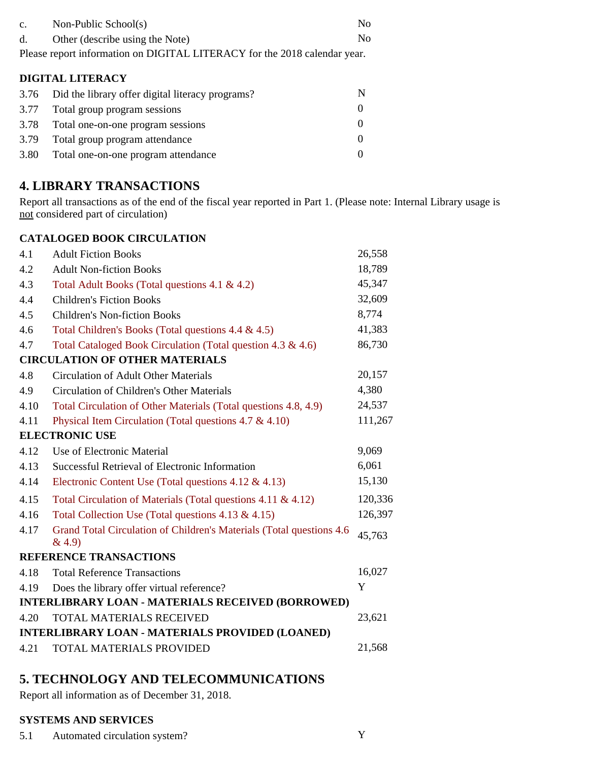| $\mathbf{c}$ .          | Non-Public School(s)                                                      | No             |
|-------------------------|---------------------------------------------------------------------------|----------------|
| d.                      | Other (describe using the Note)                                           | N <sub>0</sub> |
|                         | Please report information on DIGITAL LITERACY for the 2018 calendar year. |                |
| <b>DIGITAL LITERACY</b> |                                                                           |                |
| 3.76                    | Did the library offer digital literacy programs?                          | N              |
| 3.77                    | Total group program sessions                                              | $\theta$       |
| 3.78                    | Total one-on-one program sessions                                         |                |

| 3.10 | Total one-on-one program sessions   |  |
|------|-------------------------------------|--|
| 3.79 | Total group program attendance      |  |
| 3.80 | Total one-on-one program attendance |  |

# **4. LIBRARY TRANSACTIONS**

Report all transactions as of the end of the fiscal year reported in Part 1. (Please note: Internal Library usage is not considered part of circulation)

### **CATALOGED BOOK CIRCULATION**

| 4.1  | <b>Adult Fiction Books</b>                                                     | 26,558  |
|------|--------------------------------------------------------------------------------|---------|
| 4.2  | <b>Adult Non-fiction Books</b>                                                 | 18,789  |
| 4.3  | Total Adult Books (Total questions 4.1 & 4.2)                                  | 45,347  |
| 4.4  | <b>Children's Fiction Books</b>                                                | 32,609  |
| 4.5  | <b>Children's Non-fiction Books</b>                                            | 8,774   |
| 4.6  | Total Children's Books (Total questions 4.4 & 4.5)                             | 41,383  |
| 4.7  | Total Cataloged Book Circulation (Total question 4.3 & 4.6)                    | 86,730  |
|      | <b>CIRCULATION OF OTHER MATERIALS</b>                                          |         |
| 4.8  | <b>Circulation of Adult Other Materials</b>                                    | 20,157  |
| 4.9  | Circulation of Children's Other Materials                                      | 4,380   |
| 4.10 | Total Circulation of Other Materials (Total questions 4.8, 4.9)                | 24,537  |
| 4.11 | Physical Item Circulation (Total questions $4.7 \& 4.10$ )                     | 111,267 |
|      | <b>ELECTRONIC USE</b>                                                          |         |
| 4.12 | Use of Electronic Material                                                     | 9,069   |
| 4.13 | Successful Retrieval of Electronic Information                                 | 6,061   |
| 4.14 | Electronic Content Use (Total questions $4.12 \& 4.13$ )                       | 15,130  |
| 4.15 | Total Circulation of Materials (Total questions 4.11 & 4.12)                   | 120,336 |
| 4.16 | Total Collection Use (Total questions 4.13 & 4.15)                             | 126,397 |
| 4.17 | Grand Total Circulation of Children's Materials (Total questions 4.6<br>& 4.9) | 45,763  |
|      | <b>REFERENCE TRANSACTIONS</b>                                                  |         |
| 4.18 | <b>Total Reference Transactions</b>                                            | 16,027  |
| 4.19 | Does the library offer virtual reference?                                      | Y       |
|      | <b>INTERLIBRARY LOAN - MATERIALS RECEIVED (BORROWED)</b>                       |         |
| 4.20 | TOTAL MATERIALS RECEIVED                                                       | 23,621  |
|      | <b>INTERLIBRARY LOAN - MATERIALS PROVIDED (LOANED)</b>                         |         |
| 4.21 | <b>TOTAL MATERIALS PROVIDED</b>                                                | 21,568  |
|      |                                                                                |         |

# **5. TECHNOLOGY AND TELECOMMUNICATIONS**

Report all information as of December 31, 2018.

### **SYSTEMS AND SERVICES**

5.1 Automated circulation system? Y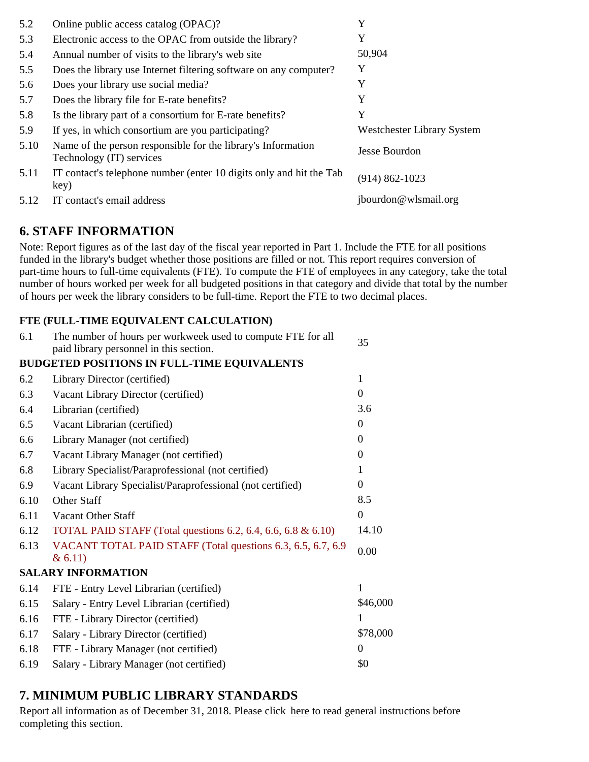| 5.2  | Online public access catalog (OPAC)?                                                     | Y                          |
|------|------------------------------------------------------------------------------------------|----------------------------|
| 5.3  | Electronic access to the OPAC from outside the library?                                  | Y                          |
| 5.4  | Annual number of visits to the library's web site                                        | 50,904                     |
| 5.5  | Does the library use Internet filtering software on any computer?                        | Y                          |
| 5.6  | Does your library use social media?                                                      | Y                          |
| 5.7  | Does the library file for E-rate benefits?                                               | Y                          |
| 5.8  | Is the library part of a consortium for E-rate benefits?                                 | Y                          |
| 5.9  | If yes, in which consortium are you participating?                                       | Westchester Library System |
| 5.10 | Name of the person responsible for the library's Information<br>Technology (IT) services | Jesse Bourdon              |
| 5.11 | IT contact's telephone number (enter 10 digits only and hit the Tab<br>key)              | $(914) 862 - 1023$         |
| 5.12 | IT contact's email address                                                               | jbourdon@wlsmail.org       |

# **6. STAFF INFORMATION**

Note: Report figures as of the last day of the fiscal year reported in Part 1. Include the FTE for all positions funded in the library's budget whether those positions are filled or not. This report requires conversion of part-time hours to full-time equivalents (FTE). To compute the FTE of employees in any category, take the total number of hours worked per week for all budgeted positions in that category and divide that total by the number of hours per week the library considers to be full-time. Report the FTE to two decimal places.

### **FTE (FULL-TIME EQUIVALENT CALCULATION)**

| 6.1  | The number of hours per workweek used to compute FTE for all<br>paid library personnel in this section. | 35               |
|------|---------------------------------------------------------------------------------------------------------|------------------|
|      | <b>BUDGETED POSITIONS IN FULL-TIME EQUIVALENTS</b>                                                      |                  |
| 6.2  | Library Director (certified)                                                                            | 1                |
| 6.3  | Vacant Library Director (certified)                                                                     | $\overline{0}$   |
| 6.4  | Librarian (certified)                                                                                   | 3.6              |
| 6.5  | Vacant Librarian (certified)                                                                            | $\mathbf{0}$     |
| 6.6  | Library Manager (not certified)                                                                         | $\Omega$         |
| 6.7  | Vacant Library Manager (not certified)                                                                  | $\theta$         |
| 6.8  | Library Specialist/Paraprofessional (not certified)                                                     |                  |
| 6.9  | Vacant Library Specialist/Paraprofessional (not certified)                                              | $\overline{0}$   |
| 6.10 | Other Staff                                                                                             | 8.5              |
| 6.11 | Vacant Other Staff                                                                                      | $\mathbf{0}$     |
| 6.12 | TOTAL PAID STAFF (Total questions 6.2, 6.4, 6.6, 6.8 & 6.10)                                            | 14.10            |
| 6.13 | VACANT TOTAL PAID STAFF (Total questions 6.3, 6.5, 6.7, 6.9<br>& 6.11)                                  | 0.00             |
|      | <b>SALARY INFORMATION</b>                                                                               |                  |
| 6.14 | FTE - Entry Level Librarian (certified)                                                                 | 1                |
| 6.15 | Salary - Entry Level Librarian (certified)                                                              | \$46,000         |
| 6.16 | FTE - Library Director (certified)                                                                      |                  |
| 6.17 | Salary - Library Director (certified)                                                                   | \$78,000         |
| 6.18 | FTE - Library Manager (not certified)                                                                   | $\boldsymbol{0}$ |
| 6.19 | Salary - Library Manager (not certified)                                                                | \$0              |

# **7. MINIMUM PUBLIC LIBRARY STANDARDS**

Report all information as of December 31, 2018. Please click here to read general instructions before completing this section.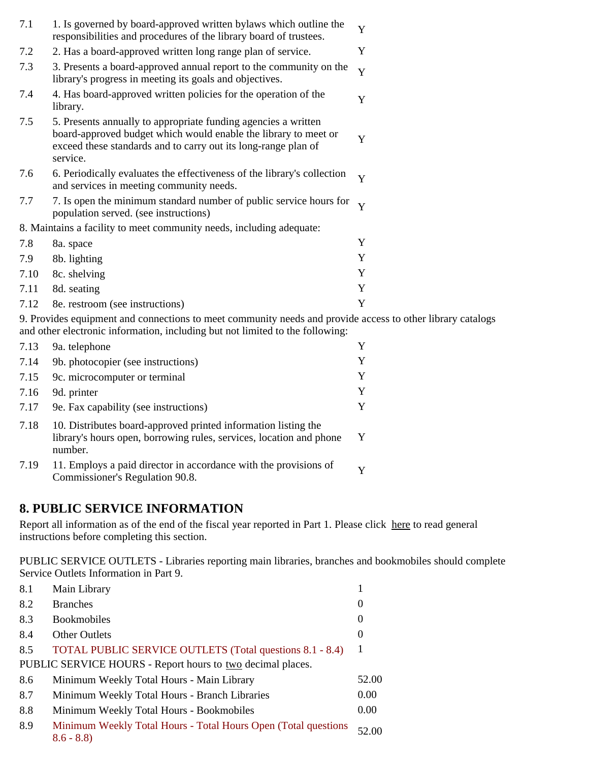| 7.1  | 1. Is governed by board-approved written bylaws which outline the<br>responsibilities and procedures of the library board of trustees.                                                                          | Y            |
|------|-----------------------------------------------------------------------------------------------------------------------------------------------------------------------------------------------------------------|--------------|
| 7.2  | 2. Has a board-approved written long range plan of service.                                                                                                                                                     | Y            |
| 7.3  | 3. Presents a board-approved annual report to the community on the<br>library's progress in meeting its goals and objectives.                                                                                   | Y            |
| 7.4  | 4. Has board-approved written policies for the operation of the<br>library.                                                                                                                                     | Y            |
| 7.5  | 5. Presents annually to appropriate funding agencies a written<br>board-approved budget which would enable the library to meet or<br>exceed these standards and to carry out its long-range plan of<br>service. | Y            |
| 7.6  | 6. Periodically evaluates the effectiveness of the library's collection<br>and services in meeting community needs.                                                                                             | Y            |
| 7.7  | 7. Is open the minimum standard number of public service hours for<br>population served. (see instructions)                                                                                                     | $\mathbf{V}$ |
|      | 8. Maintains a facility to meet community needs, including adequate:                                                                                                                                            |              |
| 7.8  | 8a. space                                                                                                                                                                                                       | Y            |
| 7.9  | 8b. lighting                                                                                                                                                                                                    | Y            |
| 7.10 | 8c. shelving                                                                                                                                                                                                    | Y            |
| 7.11 | 8d. seating                                                                                                                                                                                                     | Y            |
| 7.12 | 8e. restroom (see instructions)                                                                                                                                                                                 | Y            |

9. Provides equipment and connections to meet community needs and provide access to other library catalogs and other electronic information, including but not limited to the following:

| 7.13 | 9a. telephone                                                                                                                                    | Y        |
|------|--------------------------------------------------------------------------------------------------------------------------------------------------|----------|
| 7.14 | 9b. photocopier (see instructions)                                                                                                               | Y        |
| 7.15 | 9c. microcomputer or terminal                                                                                                                    | Y        |
| 7.16 | 9d. printer                                                                                                                                      | Y        |
| 7.17 | 9e. Fax capability (see instructions)                                                                                                            | Y        |
| 7.18 | 10. Distributes board-approved printed information listing the<br>library's hours open, borrowing rules, services, location and phone<br>number. | Y        |
| 7.19 | 11. Employs a paid director in accordance with the provisions of<br>Commissioner's Regulation 90.8.                                              | $\bf{V}$ |

## **8. PUBLIC SERVICE INFORMATION**

Report all information as of the end of the fiscal year reported in Part 1. Please click here to read general instructions before completing this section.

PUBLIC SERVICE OUTLETS - Libraries reporting main libraries, branches and bookmobiles should complete Service Outlets Information in Part 9.

| 8.1 | Main Library                                                                   |                  |
|-----|--------------------------------------------------------------------------------|------------------|
| 8.2 | <b>Branches</b>                                                                | $\boldsymbol{0}$ |
| 8.3 | <b>Bookmobiles</b>                                                             | $\boldsymbol{0}$ |
| 8.4 | <b>Other Outlets</b>                                                           | 0                |
| 8.5 | TOTAL PUBLIC SERVICE OUTLETS (Total questions 8.1 - 8.4)                       | -1               |
|     | PUBLIC SERVICE HOURS - Report hours to two decimal places.                     |                  |
| 8.6 | Minimum Weekly Total Hours - Main Library                                      | 52.00            |
| 8.7 | Minimum Weekly Total Hours - Branch Libraries                                  | 0.00             |
| 8.8 | Minimum Weekly Total Hours - Bookmobiles                                       | 0.00             |
| 8.9 | Minimum Weekly Total Hours - Total Hours Open (Total questions)<br>$8.6 - 8.8$ | 52.00            |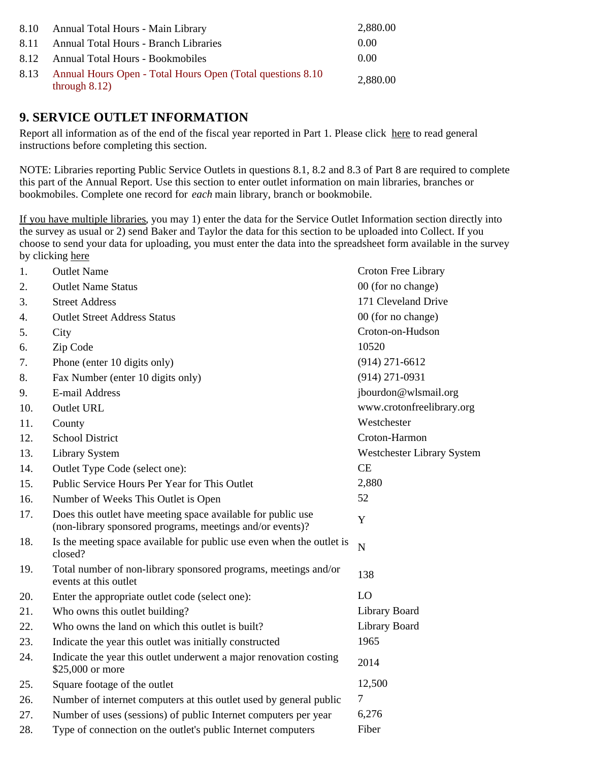|      | 8.10 Annual Total Hours - Main Library                                          | 2,880.00 |
|------|---------------------------------------------------------------------------------|----------|
| 8.11 | <b>Annual Total Hours - Branch Libraries</b>                                    | 0.00     |
|      | 8.12 Annual Total Hours - Bookmobiles                                           | 0.00     |
| 8.13 | Annual Hours Open - Total Hours Open (Total questions 8.10)<br>through $8.12$ ) | 2,880.00 |

## **9. SERVICE OUTLET INFORMATION**

Report all information as of the end of the fiscal year reported in Part 1. Please click here to read general instructions before completing this section.

NOTE: Libraries reporting Public Service Outlets in questions 8.1, 8.2 and 8.3 of Part 8 are required to complete this part of the Annual Report. Use this section to enter outlet information on main libraries, branches or bookmobiles. Complete one record for *each* main library, branch or bookmobile.

If you have multiple libraries, you may 1) enter the data for the Service Outlet Information section directly into the survey as usual or 2) send Baker and Taylor the data for this section to be uploaded into Collect. If you choose to send your data for uploading, you must enter the data into the spreadsheet form available in the survey by clicking here

| 1.  | <b>Outlet Name</b>                                                                                                        | Croton Free Library        |
|-----|---------------------------------------------------------------------------------------------------------------------------|----------------------------|
| 2.  | <b>Outlet Name Status</b>                                                                                                 | 00 (for no change)         |
| 3.  | <b>Street Address</b>                                                                                                     | 171 Cleveland Drive        |
| 4.  | <b>Outlet Street Address Status</b>                                                                                       | 00 (for no change)         |
| 5.  | City                                                                                                                      | Croton-on-Hudson           |
| 6.  | Zip Code                                                                                                                  | 10520                      |
| 7.  | Phone (enter 10 digits only)                                                                                              | $(914)$ 271-6612           |
| 8.  | Fax Number (enter 10 digits only)                                                                                         | $(914)$ 271-0931           |
| 9.  | E-mail Address                                                                                                            | jbourdon@wlsmail.org       |
| 10. | <b>Outlet URL</b>                                                                                                         | www.crotonfreelibrary.org  |
| 11. | County                                                                                                                    | Westchester                |
| 12. | <b>School District</b>                                                                                                    | Croton-Harmon              |
| 13. | <b>Library System</b>                                                                                                     | Westchester Library System |
| 14. | Outlet Type Code (select one):                                                                                            | CE                         |
| 15. | Public Service Hours Per Year for This Outlet                                                                             | 2,880                      |
| 16. | Number of Weeks This Outlet is Open                                                                                       | 52                         |
| 17. | Does this outlet have meeting space available for public use<br>(non-library sponsored programs, meetings and/or events)? | $\mathbf Y$                |
| 18. | Is the meeting space available for public use even when the outlet is<br>closed?                                          | $\mathbf N$                |
| 19. | Total number of non-library sponsored programs, meetings and/or<br>events at this outlet                                  | 138                        |
| 20. | Enter the appropriate outlet code (select one):                                                                           | LO                         |
| 21. | Who owns this outlet building?                                                                                            | Library Board              |
| 22. | Who owns the land on which this outlet is built?                                                                          | Library Board              |
| 23. | Indicate the year this outlet was initially constructed                                                                   | 1965                       |
| 24. | Indicate the year this outlet underwent a major renovation costing<br>\$25,000 or more                                    | 2014                       |
| 25. | Square footage of the outlet                                                                                              | 12,500                     |
| 26. | Number of internet computers at this outlet used by general public                                                        | $\tau$                     |
| 27. | Number of uses (sessions) of public Internet computers per year                                                           | 6,276                      |
| 28. | Type of connection on the outlet's public Internet computers                                                              | Fiber                      |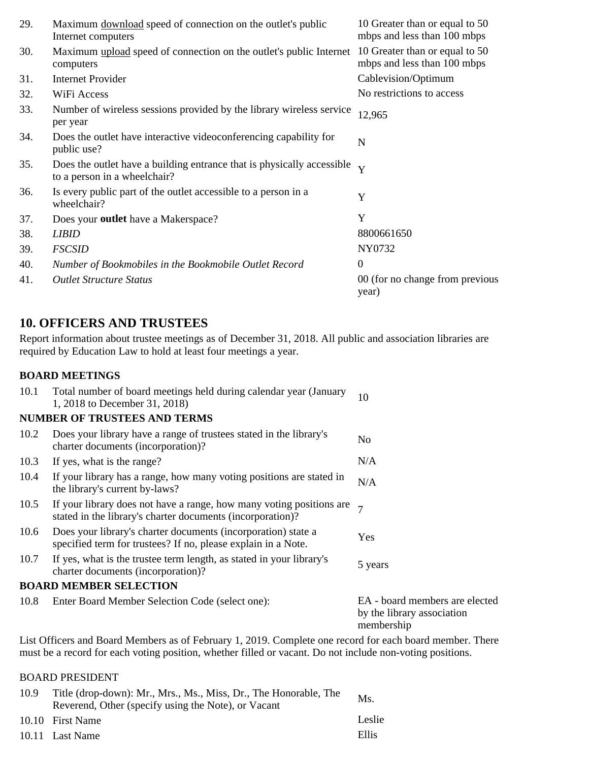| 29. | Maximum download speed of connection on the outlet's public<br>Internet computers                      | 10 Greater than or equal to 50<br>mbps and less than 100 mbps |
|-----|--------------------------------------------------------------------------------------------------------|---------------------------------------------------------------|
| 30. | Maximum upload speed of connection on the outlet's public Internet<br>computers                        | 10 Greater than or equal to 50<br>mbps and less than 100 mbps |
| 31. | <b>Internet Provider</b>                                                                               | Cablevision/Optimum                                           |
| 32. | WiFi Access                                                                                            | No restrictions to access                                     |
| 33. | Number of wireless sessions provided by the library wireless service<br>per year                       | 12,965                                                        |
| 34. | Does the outlet have interactive videoconferencing capability for<br>public use?                       | N                                                             |
| 35. | Does the outlet have a building entrance that is physically accessible<br>to a person in a wheelchair? | Y                                                             |
| 36. | Is every public part of the outlet accessible to a person in a<br>wheelchair?                          | Y                                                             |
| 37. | Does your outlet have a Makerspace?                                                                    | Y                                                             |
| 38. | <b>LIBID</b>                                                                                           | 8800661650                                                    |
| 39. | <b>FSCSID</b>                                                                                          | NY0732                                                        |
| 40. | Number of Bookmobiles in the Bookmobile Outlet Record                                                  | $\mathbf{0}$                                                  |
| 41. | <b>Outlet Structure Status</b>                                                                         | 00 (for no change from previous<br>year)                      |

## **10. OFFICERS AND TRUSTEES**

Report information about trustee meetings as of December 31, 2018. All public and association libraries are required by Education Law to hold at least four meetings a year.

### **BOARD MEETINGS**

| 10.1 | Total number of board meetings held during calendar year (January<br>1, 2018 to December 31, 2018)                                        | 10                                                                         |
|------|-------------------------------------------------------------------------------------------------------------------------------------------|----------------------------------------------------------------------------|
|      | <b>NUMBER OF TRUSTEES AND TERMS</b>                                                                                                       |                                                                            |
| 10.2 | Does your library have a range of trustees stated in the library's<br>charter documents (incorporation)?                                  | N <sub>0</sub>                                                             |
| 10.3 | If yes, what is the range?                                                                                                                | N/A                                                                        |
| 10.4 | If your library has a range, how many voting positions are stated in<br>the library's current by-laws?                                    | N/A                                                                        |
| 10.5 | If your library does not have a range, how many voting positions are $\tau$<br>stated in the library's charter documents (incorporation)? |                                                                            |
| 10.6 | Does your library's charter documents (incorporation) state a<br>specified term for trustees? If no, please explain in a Note.            | Yes                                                                        |
| 10.7 | If yes, what is the trustee term length, as stated in your library's<br>charter documents (incorporation)?                                | 5 years                                                                    |
|      | <b>BOARD MEMBER SELECTION</b>                                                                                                             |                                                                            |
| 10.8 | Enter Board Member Selection Code (select one):                                                                                           | EA - board members are elected<br>by the library association<br>membership |

List Officers and Board Members as of February 1, 2019. Complete one record for each board member. There must be a record for each voting position, whether filled or vacant. Do not include non-voting positions.

### BOARD PRESIDENT

| 10.9 | Title (drop-down): Mr., Mrs., Ms., Miss, Dr., The Honorable, The<br>Reverend, Other (specify using the Note), or Vacant | Ms.    |
|------|-------------------------------------------------------------------------------------------------------------------------|--------|
|      | 10.10 First Name                                                                                                        | Leslie |
|      | 10.11 Last Name                                                                                                         | Ellis  |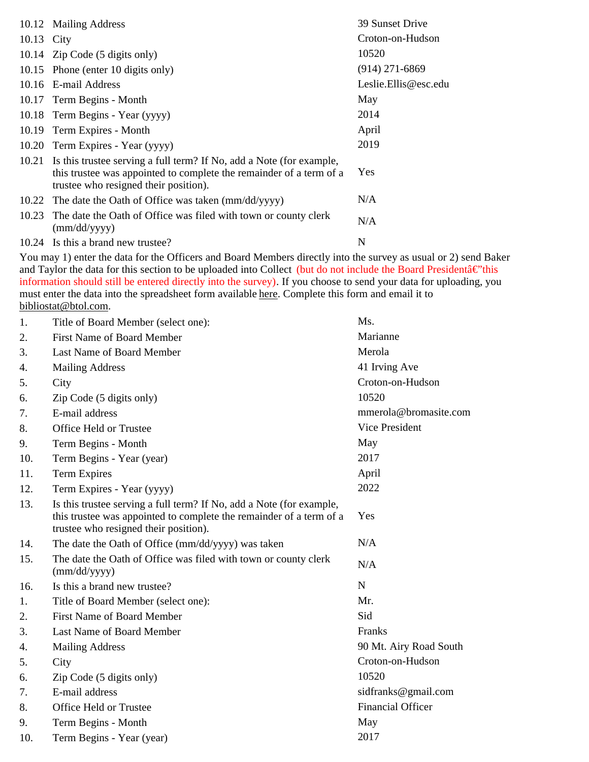|            | 10.12 Mailing Address                                                                                                                                                                | 39 Sunset Drive      |
|------------|--------------------------------------------------------------------------------------------------------------------------------------------------------------------------------------|----------------------|
| 10.13 City |                                                                                                                                                                                      | Croton-on-Hudson     |
|            | 10.14 Zip Code (5 digits only)                                                                                                                                                       | 10520                |
|            | 10.15 Phone (enter 10 digits only)                                                                                                                                                   | $(914)$ 271-6869     |
|            | 10.16 E-mail Address                                                                                                                                                                 | Leslie.Ellis@esc.edu |
|            | 10.17 Term Begins - Month                                                                                                                                                            | May                  |
|            | 10.18 Term Begins - Year (yyyy)                                                                                                                                                      | 2014                 |
| 10.19      | Term Expires - Month                                                                                                                                                                 | April                |
| 10.20      | Term Expires - Year (yyyy)                                                                                                                                                           | 2019                 |
| 10.21      | Is this trustee serving a full term? If No, add a Note (for example,<br>this trustee was appointed to complete the remainder of a term of a<br>trustee who resigned their position). | Yes                  |
| 10.22      | The date the Oath of Office was taken (mm/dd/yyyy)                                                                                                                                   | N/A                  |
| 10.23      | The date the Oath of Office was filed with town or county clerk<br>(mm/dd/yyyy)                                                                                                      | N/A                  |
|            | 10.24 Is this a brand new trustee?                                                                                                                                                   | N                    |

You may 1) enter the data for the Officers and Board Members directly into the survey as usual or 2) send Baker and Taylor the data for this section to be uploaded into Collect (but do not include the Board President $\hat{a} \in \hat{a}$ this information should still be entered directly into the survey). If you choose to send your data for uploading, you must enter the data into the spreadsheet form available here. Complete this form and email it to bibliostat@btol.com.

| 1.  | Title of Board Member (select one):                                                                                                                                                  | Ms.                      |
|-----|--------------------------------------------------------------------------------------------------------------------------------------------------------------------------------------|--------------------------|
| 2.  | <b>First Name of Board Member</b>                                                                                                                                                    | Marianne                 |
| 3.  | Last Name of Board Member                                                                                                                                                            | Merola                   |
| 4.  | <b>Mailing Address</b>                                                                                                                                                               | 41 Irving Ave            |
| 5.  | City                                                                                                                                                                                 | Croton-on-Hudson         |
| 6.  | Zip Code (5 digits only)                                                                                                                                                             | 10520                    |
| 7.  | E-mail address                                                                                                                                                                       | mmerola@bromasite.com    |
| 8.  | Office Held or Trustee                                                                                                                                                               | Vice President           |
| 9.  | Term Begins - Month                                                                                                                                                                  | May                      |
| 10. | Term Begins - Year (year)                                                                                                                                                            | 2017                     |
| 11. | <b>Term Expires</b>                                                                                                                                                                  | April                    |
| 12. | Term Expires - Year (yyyy)                                                                                                                                                           | 2022                     |
| 13. | Is this trustee serving a full term? If No, add a Note (for example,<br>this trustee was appointed to complete the remainder of a term of a<br>trustee who resigned their position). | Yes                      |
| 14. | The date the Oath of Office (mm/dd/yyyy) was taken                                                                                                                                   | N/A                      |
| 15. | The date the Oath of Office was filed with town or county clerk<br>(mm/dd/yyyy)                                                                                                      | N/A                      |
| 16. | Is this a brand new trustee?                                                                                                                                                         | N                        |
| 1.  | Title of Board Member (select one):                                                                                                                                                  | Mr.                      |
| 2.  | <b>First Name of Board Member</b>                                                                                                                                                    | Sid                      |
| 3.  | Last Name of Board Member                                                                                                                                                            | Franks                   |
| 4.  | <b>Mailing Address</b>                                                                                                                                                               | 90 Mt. Airy Road South   |
| 5.  | City                                                                                                                                                                                 | Croton-on-Hudson         |
| 6.  | Zip Code (5 digits only)                                                                                                                                                             | 10520                    |
| 7.  | E-mail address                                                                                                                                                                       | sidfranks@gmail.com      |
| 8.  | Office Held or Trustee                                                                                                                                                               | <b>Financial Officer</b> |
| 9.  | Term Begins - Month                                                                                                                                                                  | May                      |
| 10. | Term Begins - Year (year)                                                                                                                                                            | 2017                     |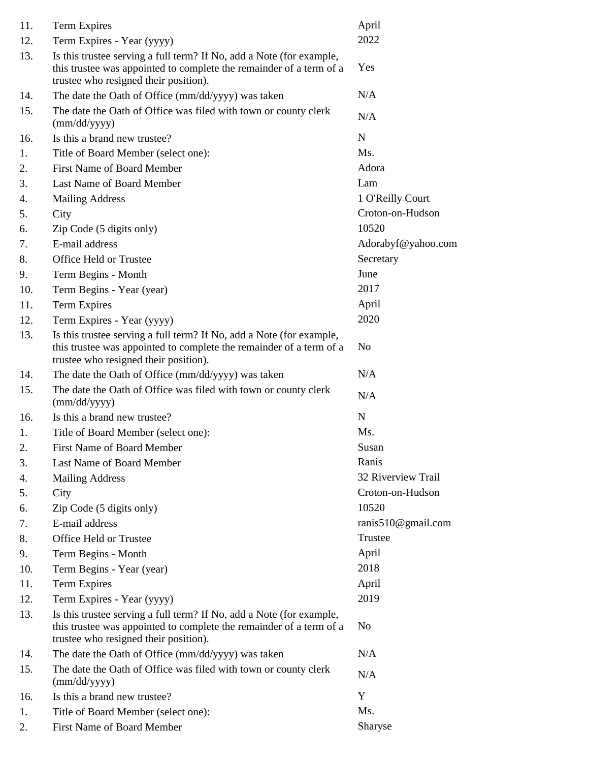| 11. | Term Expires                                                                                                                                                                         | April              |
|-----|--------------------------------------------------------------------------------------------------------------------------------------------------------------------------------------|--------------------|
| 12. | Term Expires - Year (yyyy)                                                                                                                                                           | 2022               |
| 13. | Is this trustee serving a full term? If No, add a Note (for example,<br>this trustee was appointed to complete the remainder of a term of a<br>trustee who resigned their position). | Yes                |
| 14. | The date the Oath of Office (mm/dd/yyyy) was taken                                                                                                                                   | N/A                |
| 15. | The date the Oath of Office was filed with town or county clerk<br>(mm/dd/yyyy)                                                                                                      | N/A                |
| 16. | Is this a brand new trustee?                                                                                                                                                         | N                  |
| 1.  | Title of Board Member (select one):                                                                                                                                                  | Ms.                |
| 2.  | <b>First Name of Board Member</b>                                                                                                                                                    | Adora              |
| 3.  | Last Name of Board Member                                                                                                                                                            | Lam                |
| 4.  | <b>Mailing Address</b>                                                                                                                                                               | 1 O'Reilly Court   |
| 5.  | City                                                                                                                                                                                 | Croton-on-Hudson   |
| 6.  | Zip Code (5 digits only)                                                                                                                                                             | 10520              |
| 7.  | E-mail address                                                                                                                                                                       | Adorabyf@yahoo.com |
| 8.  | Office Held or Trustee                                                                                                                                                               | Secretary          |
| 9.  | Term Begins - Month                                                                                                                                                                  | June               |
| 10. | Term Begins - Year (year)                                                                                                                                                            | 2017               |
| 11. | <b>Term Expires</b>                                                                                                                                                                  | April              |
| 12. | Term Expires - Year (yyyy)                                                                                                                                                           | 2020               |
| 13. | Is this trustee serving a full term? If No, add a Note (for example,<br>this trustee was appointed to complete the remainder of a term of a<br>trustee who resigned their position). | No                 |
| 14. | The date the Oath of Office (mm/dd/yyyy) was taken                                                                                                                                   | N/A                |
| 15. | The date the Oath of Office was filed with town or county clerk<br>(mm/dd/yyyy)                                                                                                      | N/A                |
| 16. | Is this a brand new trustee?                                                                                                                                                         | N                  |
| 1.  | Title of Board Member (select one):                                                                                                                                                  | Ms.                |
| 2.  | <b>First Name of Board Member</b>                                                                                                                                                    | Susan              |
| 3.  | Last Name of Board Member                                                                                                                                                            | Ranis              |
| 4.  | <b>Mailing Address</b>                                                                                                                                                               | 32 Riverview Trail |
| 5.  | City                                                                                                                                                                                 | Croton-on-Hudson   |
| 6.  | Zip Code (5 digits only)                                                                                                                                                             | 10520              |
| 7.  | E-mail address                                                                                                                                                                       | ranis510@gmail.com |
| 8.  | Office Held or Trustee                                                                                                                                                               | Trustee            |
| 9.  | Term Begins - Month                                                                                                                                                                  | April              |
| 10. | Term Begins - Year (year)                                                                                                                                                            | 2018               |
| 11. | <b>Term Expires</b>                                                                                                                                                                  | April              |
| 12. | Term Expires - Year (yyyy)                                                                                                                                                           | 2019               |
| 13. | Is this trustee serving a full term? If No, add a Note (for example,<br>this trustee was appointed to complete the remainder of a term of a<br>trustee who resigned their position). | N <sub>o</sub>     |
| 14. | The date the Oath of Office (mm/dd/yyyy) was taken                                                                                                                                   | N/A                |
| 15. | The date the Oath of Office was filed with town or county clerk<br>(mm/dd/yyyy)                                                                                                      | N/A                |
| 16. | Is this a brand new trustee?                                                                                                                                                         | Y                  |
| 1.  | Title of Board Member (select one):                                                                                                                                                  | Ms.                |
| 2.  | First Name of Board Member                                                                                                                                                           | Sharyse            |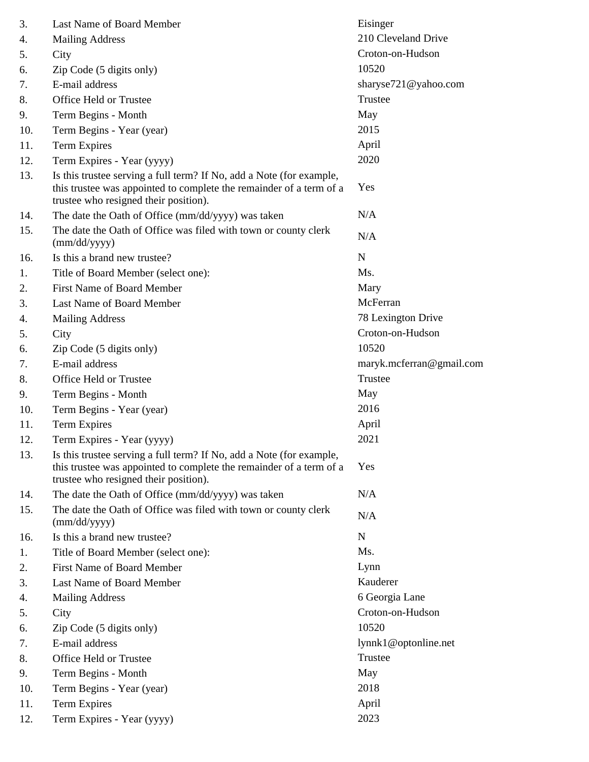| 3.  | Last Name of Board Member                                                                                                                                                            | Eisinger                 |
|-----|--------------------------------------------------------------------------------------------------------------------------------------------------------------------------------------|--------------------------|
| 4.  | <b>Mailing Address</b>                                                                                                                                                               | 210 Cleveland Drive      |
| 5.  | City                                                                                                                                                                                 | Croton-on-Hudson         |
| 6.  | Zip Code (5 digits only)                                                                                                                                                             | 10520                    |
| 7.  | E-mail address                                                                                                                                                                       | sharyse721@yahoo.com     |
| 8.  | Office Held or Trustee                                                                                                                                                               | Trustee                  |
| 9.  | Term Begins - Month                                                                                                                                                                  | May                      |
| 10. | Term Begins - Year (year)                                                                                                                                                            | 2015                     |
| 11. | <b>Term Expires</b>                                                                                                                                                                  | April                    |
| 12. | Term Expires - Year (yyyy)                                                                                                                                                           | 2020                     |
| 13. | Is this trustee serving a full term? If No, add a Note (for example,<br>this trustee was appointed to complete the remainder of a term of a<br>trustee who resigned their position). | Yes                      |
| 14. | The date the Oath of Office (mm/dd/yyyy) was taken                                                                                                                                   | N/A                      |
| 15. | The date the Oath of Office was filed with town or county clerk<br>(mm/dd/yyyy)                                                                                                      | N/A                      |
| 16. | Is this a brand new trustee?                                                                                                                                                         | N                        |
| 1.  | Title of Board Member (select one):                                                                                                                                                  | Ms.                      |
| 2.  | <b>First Name of Board Member</b>                                                                                                                                                    | Mary                     |
| 3.  | Last Name of Board Member                                                                                                                                                            | McFerran                 |
| 4.  | <b>Mailing Address</b>                                                                                                                                                               | 78 Lexington Drive       |
| 5.  | City                                                                                                                                                                                 | Croton-on-Hudson         |
| 6.  | Zip Code (5 digits only)                                                                                                                                                             | 10520                    |
| 7.  | E-mail address                                                                                                                                                                       | maryk.mcferran@gmail.com |
| 8.  | Office Held or Trustee                                                                                                                                                               | Trustee                  |
| 9.  | Term Begins - Month                                                                                                                                                                  | May                      |
| 10. | Term Begins - Year (year)                                                                                                                                                            | 2016                     |
| 11. | Term Expires                                                                                                                                                                         | April                    |
| 12. | Term Expires - Year (yyyy)                                                                                                                                                           | 2021                     |
| 13. | Is this trustee serving a full term? If No, add a Note (for example,<br>this trustee was appointed to complete the remainder of a term of a<br>trustee who resigned their position). | Yes                      |
| 14. | The date the Oath of Office (mm/dd/yyyy) was taken                                                                                                                                   | N/A                      |
| 15. | The date the Oath of Office was filed with town or county clerk<br>(mm/dd/yyyy)                                                                                                      | N/A                      |
| 16. | Is this a brand new trustee?                                                                                                                                                         | N                        |
| 1.  | Title of Board Member (select one):                                                                                                                                                  | Ms.                      |
| 2.  | <b>First Name of Board Member</b>                                                                                                                                                    | Lynn                     |
| 3.  | Last Name of Board Member                                                                                                                                                            | Kauderer                 |
| 4.  | <b>Mailing Address</b>                                                                                                                                                               | 6 Georgia Lane           |
| 5.  | City                                                                                                                                                                                 | Croton-on-Hudson         |
| 6.  | Zip Code (5 digits only)                                                                                                                                                             | 10520                    |
| 7.  | E-mail address                                                                                                                                                                       | lynnk1@optonline.net     |
| 8.  | Office Held or Trustee                                                                                                                                                               | Trustee                  |
| 9.  | Term Begins - Month                                                                                                                                                                  | May                      |
| 10. | Term Begins - Year (year)                                                                                                                                                            | 2018                     |
| 11. | <b>Term Expires</b>                                                                                                                                                                  | April                    |
| 12. | Term Expires - Year (yyyy)                                                                                                                                                           | 2023                     |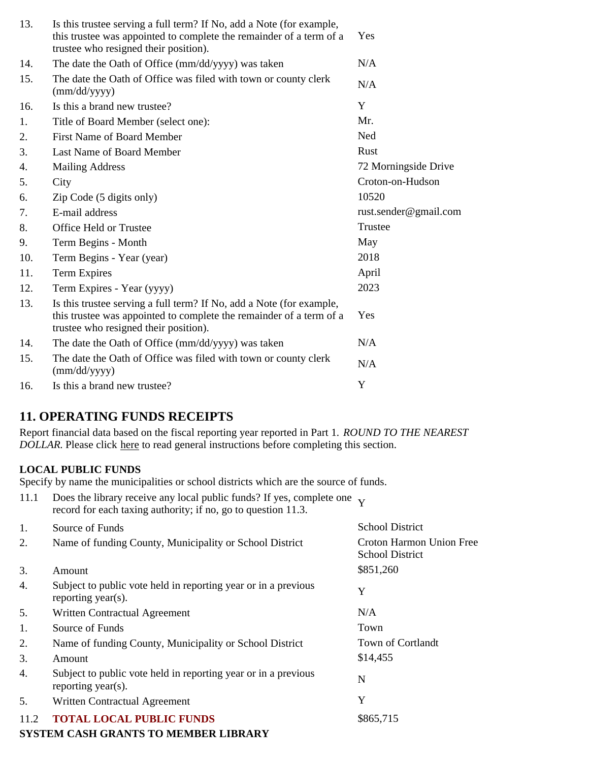| 13. | Is this trustee serving a full term? If No, add a Note (for example,<br>this trustee was appointed to complete the remainder of a term of a<br>trustee who resigned their position). | Yes                   |
|-----|--------------------------------------------------------------------------------------------------------------------------------------------------------------------------------------|-----------------------|
| 14. | The date the Oath of Office (mm/dd/yyyy) was taken                                                                                                                                   | N/A                   |
| 15. | The date the Oath of Office was filed with town or county clerk<br>$\text{(mm/dd/yyyy)}$                                                                                             | N/A                   |
| 16. | Is this a brand new trustee?                                                                                                                                                         | Y                     |
| 1.  | Title of Board Member (select one):                                                                                                                                                  | Mr.                   |
| 2.  | <b>First Name of Board Member</b>                                                                                                                                                    | Ned                   |
| 3.  | Last Name of Board Member                                                                                                                                                            | Rust                  |
| 4.  | <b>Mailing Address</b>                                                                                                                                                               | 72 Morningside Drive  |
| 5.  | City                                                                                                                                                                                 | Croton-on-Hudson      |
| 6.  | Zip Code (5 digits only)                                                                                                                                                             | 10520                 |
| 7.  | E-mail address                                                                                                                                                                       | rust.sender@gmail.com |
| 8.  | Office Held or Trustee                                                                                                                                                               | Trustee               |
| 9.  | Term Begins - Month                                                                                                                                                                  | May                   |
| 10. | Term Begins - Year (year)                                                                                                                                                            | 2018                  |
| 11. | Term Expires                                                                                                                                                                         | April                 |
| 12. | Term Expires - Year (yyyy)                                                                                                                                                           | 2023                  |
| 13. | Is this trustee serving a full term? If No, add a Note (for example,<br>this trustee was appointed to complete the remainder of a term of a<br>trustee who resigned their position). | Yes                   |
| 14. | The date the Oath of Office (mm/dd/yyyy) was taken                                                                                                                                   | N/A                   |
| 15. | The date the Oath of Office was filed with town or county clerk<br>(mm/dd/yyyy)                                                                                                      | N/A                   |
| 16. | Is this a brand new trustee?                                                                                                                                                         | Y                     |

# **11. OPERATING FUNDS RECEIPTS**

Report financial data based on the fiscal reporting year reported in Part 1. *ROUND TO THE NEAREST DOLLAR.* Please click here to read general instructions before completing this section.

### **LOCAL PUBLIC FUNDS**

Specify by name the municipalities or school districts which are the source of funds.

| 11.1 | Does the library receive any local public funds? If yes, complete one $\bf{v}$<br>record for each taxing authority; if no, go to question 11.3. |                                                    |
|------|-------------------------------------------------------------------------------------------------------------------------------------------------|----------------------------------------------------|
| 1.   | Source of Funds                                                                                                                                 | <b>School District</b>                             |
| 2.   | Name of funding County, Municipality or School District                                                                                         | Croton Harmon Union Free<br><b>School District</b> |
| 3.   | Amount                                                                                                                                          | \$851,260                                          |
| 4.   | Subject to public vote held in reporting year or in a previous<br>reporting year(s).                                                            | Y                                                  |
| 5.   | Written Contractual Agreement                                                                                                                   | N/A                                                |
| 1.   | Source of Funds                                                                                                                                 | Town                                               |
| 2.   | Name of funding County, Municipality or School District                                                                                         | Town of Cortlandt                                  |
| 3.   | Amount                                                                                                                                          | \$14,455                                           |
| 4.   | Subject to public vote held in reporting year or in a previous<br>reporting year(s).                                                            | N                                                  |
| 5.   | Written Contractual Agreement                                                                                                                   | Y                                                  |
| 11.2 | <b>TOTAL LOCAL PUBLIC FUNDS</b>                                                                                                                 | \$865,715                                          |
|      | <b>SYSTEM CASH GRANTS TO MEMBER LIBRARY</b>                                                                                                     |                                                    |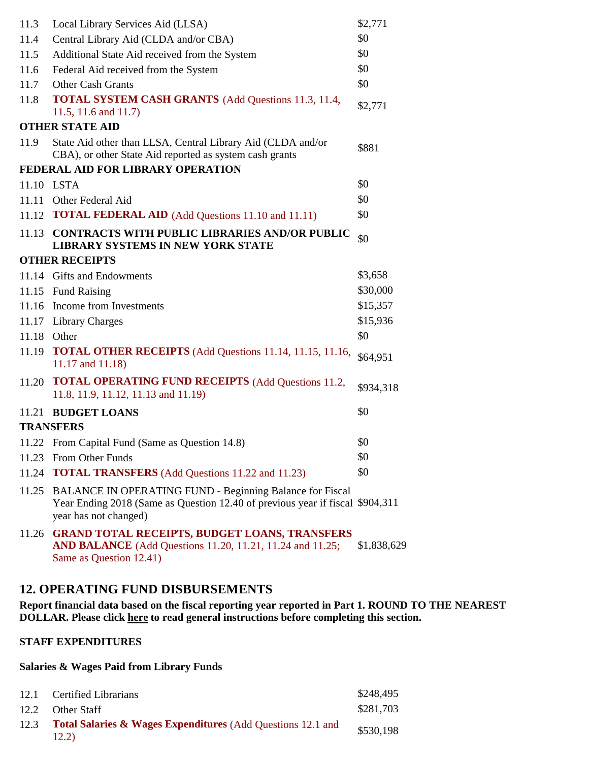| 11.3        | Local Library Services Aid (LLSA)                                                                                                                                         | \$2,771     |
|-------------|---------------------------------------------------------------------------------------------------------------------------------------------------------------------------|-------------|
| 11.4        | Central Library Aid (CLDA and/or CBA)                                                                                                                                     | \$0         |
| 11.5        | Additional State Aid received from the System                                                                                                                             | \$0         |
| 11.6        | Federal Aid received from the System                                                                                                                                      | \$0         |
| 11.7        | <b>Other Cash Grants</b>                                                                                                                                                  | \$0         |
| 11.8        | <b>TOTAL SYSTEM CASH GRANTS</b> (Add Questions 11.3, 11.4,<br>11.5, 11.6 and 11.7)                                                                                        | \$2,771     |
|             | <b>OTHER STATE AID</b>                                                                                                                                                    |             |
| 11.9        | State Aid other than LLSA, Central Library Aid (CLDA and/or<br>CBA), or other State Aid reported as system cash grants                                                    | \$881       |
|             | FEDERAL AID FOR LIBRARY OPERATION                                                                                                                                         |             |
|             | 11.10 LSTA                                                                                                                                                                | \$0         |
|             | 11.11 Other Federal Aid                                                                                                                                                   | \$0         |
|             | 11.12 <b>TOTAL FEDERAL AID</b> (Add Questions 11.10 and 11.11)                                                                                                            | \$0         |
| 11.13       | <b>CONTRACTS WITH PUBLIC LIBRARIES AND/OR PUBLIC</b><br>LIBRARY SYSTEMS IN NEW YORK STATE                                                                                 | \$0         |
|             | <b>OTHER RECEIPTS</b>                                                                                                                                                     |             |
|             | 11.14 Gifts and Endowments                                                                                                                                                | \$3,658     |
|             | 11.15 Fund Raising                                                                                                                                                        | \$30,000    |
|             | 11.16 Income from Investments                                                                                                                                             | \$15,357    |
|             | 11.17 Library Charges                                                                                                                                                     | \$15,936    |
| 11.18 Other |                                                                                                                                                                           | \$0         |
|             | 11.19 <b>TOTAL OTHER RECEIPTS</b> (Add Questions 11.14, 11.15, 11.16,<br>11.17 and 11.18)                                                                                 | \$64,951    |
|             | 11.20 <b>TOTAL OPERATING FUND RECEIPTS</b> (Add Questions 11.2,<br>11.8, 11.9, 11.12, 11.13 and 11.19)                                                                    | \$934,318   |
|             | 11.21 BUDGET LOANS                                                                                                                                                        | \$0         |
|             | <b>TRANSFERS</b>                                                                                                                                                          |             |
|             | 11.22 From Capital Fund (Same as Question 14.8)                                                                                                                           | \$0         |
| 11.23       | From Other Funds                                                                                                                                                          | \$0         |
| 11.24       | <b>TOTAL TRANSFERS</b> (Add Questions 11.22 and 11.23)                                                                                                                    | \$0         |
| 11.25       | <b>BALANCE IN OPERATING FUND - Beginning Balance for Fiscal</b><br>Year Ending 2018 (Same as Question 12.40 of previous year if fiscal \$904,311<br>year has not changed) |             |
|             | 11.26 GRAND TOTAL RECEIPTS, BUDGET LOANS, TRANSFERS<br><b>AND BALANCE</b> (Add Questions 11.20, 11.21, 11.24 and 11.25;<br>Same as Question 12.41)                        | \$1,838,629 |

# **12. OPERATING FUND DISBURSEMENTS**

**Report financial data based on the fiscal reporting year reported in Part 1. ROUND TO THE NEAREST DOLLAR. Please click here to read general instructions before completing this section.**

#### **STAFF EXPENDITURES**

#### **Salaries & Wages Paid from Library Funds**

| 12.1 | <b>Certified Librarians</b>                                                     | \$248,495 |
|------|---------------------------------------------------------------------------------|-----------|
| 12.2 | Other Staff                                                                     | \$281,703 |
| 12.3 | <b>Total Salaries &amp; Wages Expenditures (Add Questions 12.1 and</b><br>12.2) | \$530,198 |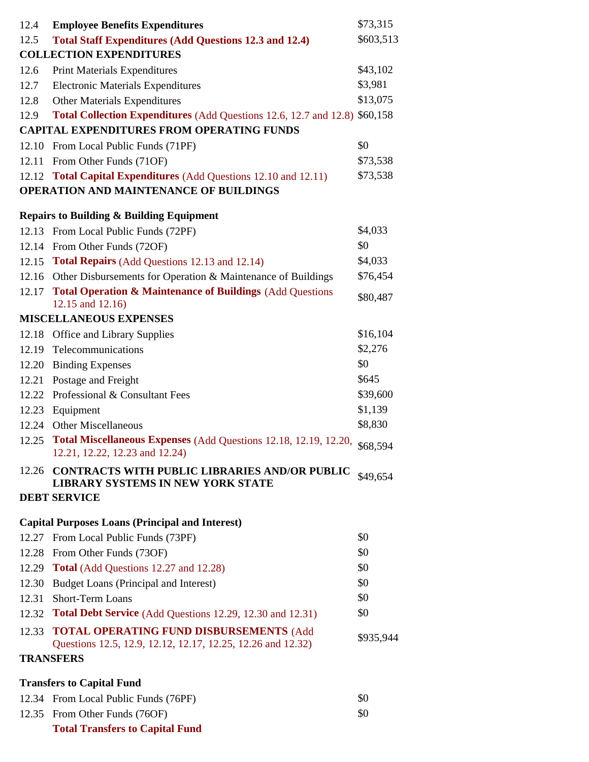| 12.4                             | <b>Employee Benefits Expenditures</b>                                                                             | \$73,315  |
|----------------------------------|-------------------------------------------------------------------------------------------------------------------|-----------|
| 12.5                             | <b>Total Staff Expenditures (Add Questions 12.3 and 12.4)</b>                                                     | \$603,513 |
|                                  | <b>COLLECTION EXPENDITURES</b>                                                                                    |           |
| 12.6                             | <b>Print Materials Expenditures</b>                                                                               | \$43,102  |
| 12.7                             | <b>Electronic Materials Expenditures</b>                                                                          | \$3,981   |
| 12.8                             | <b>Other Materials Expenditures</b>                                                                               | \$13,075  |
| 12.9                             | Total Collection Expenditures (Add Questions 12.6, 12.7 and 12.8) \$60,158                                        |           |
|                                  | <b>CAPITAL EXPENDITURES FROM OPERATING FUNDS</b>                                                                  |           |
|                                  | 12.10 From Local Public Funds (71PF)                                                                              | \$0       |
|                                  | 12.11 From Other Funds (71OF)                                                                                     | \$73,538  |
|                                  | 12.12 Total Capital Expenditures (Add Questions 12.10 and 12.11)                                                  | \$73,538  |
|                                  | <b>OPERATION AND MAINTENANCE OF BUILDINGS</b>                                                                     |           |
|                                  | <b>Repairs to Building &amp; Building Equipment</b>                                                               |           |
|                                  | 12.13 From Local Public Funds (72PF)                                                                              | \$4,033   |
|                                  | 12.14 From Other Funds (72OF)                                                                                     | \$0       |
|                                  | 12.15 Total Repairs (Add Questions 12.13 and 12.14)                                                               | \$4,033   |
|                                  | 12.16 Other Disbursements for Operation & Maintenance of Buildings                                                | \$76,454  |
|                                  | 12.17 Total Operation & Maintenance of Buildings (Add Questions<br>12.15 and 12.16)                               | \$80,487  |
|                                  | <b>MISCELLANEOUS EXPENSES</b>                                                                                     |           |
|                                  | 12.18 Office and Library Supplies                                                                                 | \$16,104  |
| 12.19                            | Telecommunications                                                                                                | \$2,276   |
|                                  | 12.20 Binding Expenses                                                                                            | \$0       |
|                                  | 12.21 Postage and Freight                                                                                         | \$645     |
|                                  | 12.22 Professional & Consultant Fees                                                                              | \$39,600  |
|                                  | 12.23 Equipment                                                                                                   | \$1,139   |
|                                  | 12.24 Other Miscellaneous                                                                                         | \$8,830   |
|                                  | 12.25 Total Miscellaneous Expenses (Add Questions 12.18, 12.19, 12.20, \$68,594<br>12.21, 12.22, 12.23 and 12.24) |           |
| 12.26                            | <b>CONTRACTS WITH PUBLIC LIBRARIES AND/OR PUBLIC</b><br>LIBRARY SYSTEMS IN NEW YORK STATE                         | \$49,654  |
|                                  | <b>DEBT SERVICE</b>                                                                                               |           |
|                                  | <b>Capital Purposes Loans (Principal and Interest)</b>                                                            |           |
|                                  | 12.27 From Local Public Funds (73PF)                                                                              | \$0       |
| 12.28                            | From Other Funds (73OF)                                                                                           | \$0       |
|                                  | 12.29 Total (Add Questions 12.27 and 12.28)                                                                       | \$0       |
| 12.30                            | Budget Loans (Principal and Interest)                                                                             | \$0       |
| 12.31                            | <b>Short-Term Loans</b>                                                                                           | \$0       |
|                                  | 12.32 Total Debt Service (Add Questions 12.29, 12.30 and 12.31)                                                   | \$0       |
| 12.33                            | <b>TOTAL OPERATING FUND DISBURSEMENTS (Add</b><br>Questions 12.5, 12.9, 12.12, 12.17, 12.25, 12.26 and 12.32)     | \$935,944 |
|                                  | <b>TRANSFERS</b>                                                                                                  |           |
| <b>Transfers to Capital Fund</b> |                                                                                                                   |           |
|                                  | 12.34 From Local Public Funds (76PF)                                                                              | \$0       |
|                                  | 12.35 From Other Funds (76OF)                                                                                     | \$0       |
|                                  | <b>Total Transfers to Capital Fund</b>                                                                            |           |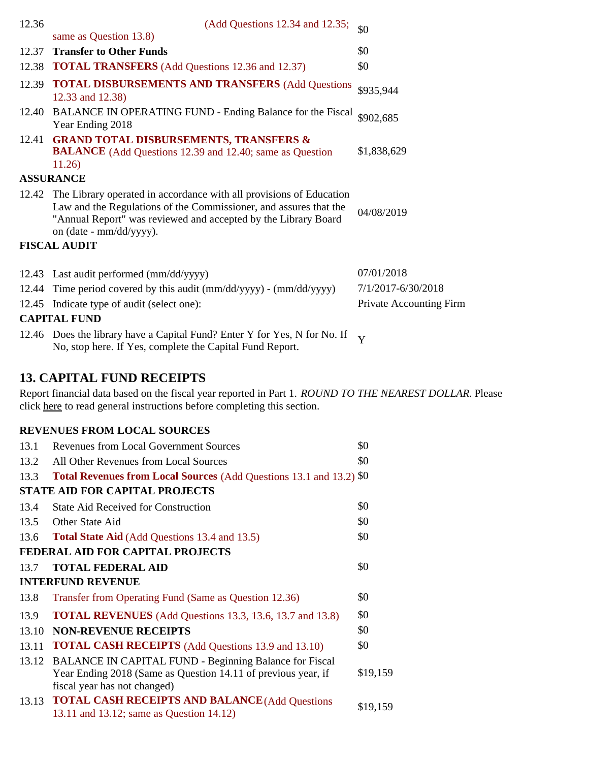| 12.36 | (Add Questions 12.34 and 12.35;                                                                                                                                                                                                             | \$0                            |
|-------|---------------------------------------------------------------------------------------------------------------------------------------------------------------------------------------------------------------------------------------------|--------------------------------|
|       | same as Question 13.8)                                                                                                                                                                                                                      |                                |
| 12.37 | <b>Transfer to Other Funds</b>                                                                                                                                                                                                              | \$0                            |
| 12.38 | <b>TOTAL TRANSFERS</b> (Add Questions 12.36 and 12.37)                                                                                                                                                                                      | \$0                            |
| 12.39 | <b>TOTAL DISBURSEMENTS AND TRANSFERS (Add Questions)</b><br>12.33 and 12.38)                                                                                                                                                                | \$935,944                      |
|       | 12.40 BALANCE IN OPERATING FUND - Ending Balance for the Fiscal<br>Year Ending 2018                                                                                                                                                         | \$902,685                      |
| 12.41 | <b>GRAND TOTAL DISBURSEMENTS, TRANSFERS &amp;</b><br><b>BALANCE</b> (Add Questions 12.39 and 12.40; same as Question<br>11.26)                                                                                                              | \$1,838,629                    |
|       | <b>ASSURANCE</b>                                                                                                                                                                                                                            |                                |
|       | 12.42 The Library operated in accordance with all provisions of Education<br>Law and the Regulations of the Commissioner, and assures that the<br>"Annual Report" was reviewed and accepted by the Library Board<br>on (date - mm/dd/yyyy). | 04/08/2019                     |
|       | <b>FISCAL AUDIT</b>                                                                                                                                                                                                                         |                                |
|       | 12.43 Last audit performed (mm/dd/yyyy)                                                                                                                                                                                                     | 07/01/2018                     |
| 12.44 | Time period covered by this audit (mm/dd/yyyy) - (mm/dd/yyyy)                                                                                                                                                                               | 7/1/2017-6/30/2018             |
|       | 12.45 Indicate type of audit (select one):                                                                                                                                                                                                  | <b>Private Accounting Firm</b> |
|       | <b>CAPITAL FUND</b>                                                                                                                                                                                                                         |                                |
|       |                                                                                                                                                                                                                                             |                                |
|       | 12.46 Does the library have a Capital Fund? Enter Y for Yes, N for No. If<br>No, stop here. If Yes, complete the Capital Fund Report.                                                                                                       | Y                              |

# **13. CAPITAL FUND RECEIPTS**

Report financial data based on the fiscal year reported in Part 1. *ROUND TO THE NEAREST DOLLAR.* Please click here to read general instructions before completing this section.

#### **REVENUES FROM LOCAL SOURCES**

| 13.1                                  | <b>Revenues from Local Government Sources</b>                                                                                                                 | \$0      |  |
|---------------------------------------|---------------------------------------------------------------------------------------------------------------------------------------------------------------|----------|--|
| 13.2                                  | All Other Revenues from Local Sources                                                                                                                         | \$0      |  |
| 13.3                                  | Total Revenues from Local Sources (Add Questions 13.1 and 13.2) \$0                                                                                           |          |  |
| <b>STATE AID FOR CAPITAL PROJECTS</b> |                                                                                                                                                               |          |  |
| 13.4                                  | <b>State Aid Received for Construction</b>                                                                                                                    | \$0      |  |
| 13.5                                  | Other State Aid                                                                                                                                               | \$0      |  |
| 13.6                                  | <b>Total State Aid</b> (Add Questions 13.4 and 13.5)                                                                                                          | \$0      |  |
| FEDERAL AID FOR CAPITAL PROJECTS      |                                                                                                                                                               |          |  |
| 13.7                                  | <b>TOTAL FEDERAL AID</b>                                                                                                                                      | \$0      |  |
| <b>INTERFUND REVENUE</b>              |                                                                                                                                                               |          |  |
| 13.8                                  | Transfer from Operating Fund (Same as Question 12.36)                                                                                                         | \$0      |  |
| 13.9                                  | <b>TOTAL REVENUES</b> (Add Questions 13.3, 13.6, 13.7 and 13.8)                                                                                               | \$0      |  |
| 13.10                                 | <b>NON-REVENUE RECEIPTS</b>                                                                                                                                   | \$0      |  |
| 13.11                                 | <b>TOTAL CASH RECEIPTS</b> (Add Questions 13.9 and 13.10)                                                                                                     | \$0      |  |
|                                       | 13.12 BALANCE IN CAPITAL FUND - Beginning Balance for Fiscal<br>Year Ending 2018 (Same as Question 14.11 of previous year, if<br>fiscal year has not changed) | \$19,159 |  |
|                                       | 13.13 TOTAL CASH RECEIPTS AND BALANCE (Add Questions<br>13.11 and 13.12; same as Question 14.12)                                                              | \$19,159 |  |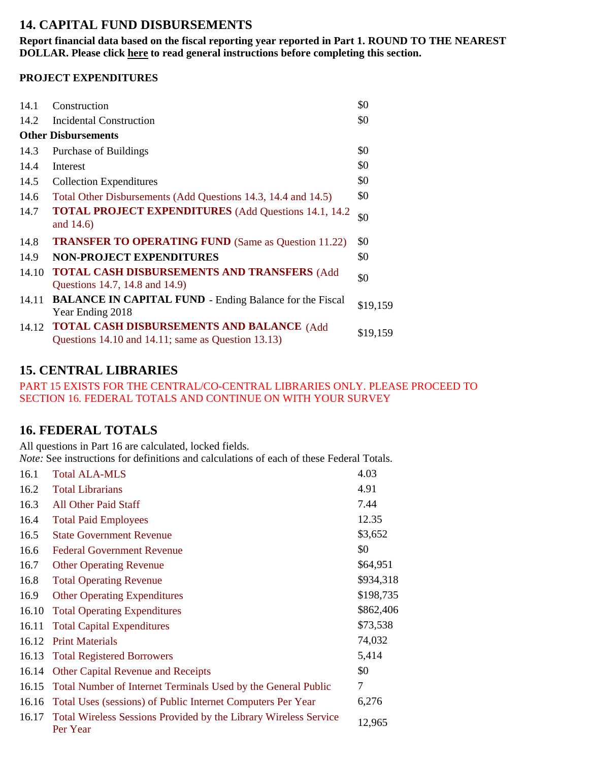# **14. CAPITAL FUND DISBURSEMENTS**

**Report financial data based on the fiscal reporting year reported in Part 1. ROUND TO THE NEAREST DOLLAR. Please click here to read general instructions before completing this section.**

### **PROJECT EXPENDITURES**

| 14.1  | Construction                                                                                           | \$0      |
|-------|--------------------------------------------------------------------------------------------------------|----------|
| 14.2  | <b>Incidental Construction</b>                                                                         | \$0      |
|       | <b>Other Disbursements</b>                                                                             |          |
| 14.3  | Purchase of Buildings                                                                                  | \$0      |
| 14.4  | Interest                                                                                               | \$0      |
| 14.5  | <b>Collection Expenditures</b>                                                                         | \$0      |
| 14.6  | Total Other Disbursements (Add Questions 14.3, 14.4 and 14.5)                                          | \$0      |
| 14.7  | <b>TOTAL PROJECT EXPENDITURES</b> (Add Questions 14.1, 14.2)<br>and 14.6)                              | \$0      |
| 14.8  | <b>TRANSFER TO OPERATING FUND (Same as Question 11.22)</b>                                             | \$0      |
| 14.9  | <b>NON-PROJECT EXPENDITURES</b>                                                                        | \$0      |
| 14.10 | <b>TOTAL CASH DISBURSEMENTS AND TRANSFERS (Add</b><br>Questions 14.7, 14.8 and 14.9)                   | \$0      |
| 14.11 | <b>BALANCE IN CAPITAL FUND - Ending Balance for the Fiscal</b><br>Year Ending 2018                     | \$19,159 |
| 14.12 | <b>TOTAL CASH DISBURSEMENTS AND BALANCE (Add</b><br>Questions 14.10 and 14.11; same as Question 13.13) | \$19,159 |

# **15. CENTRAL LIBRARIES**

PART 15 EXISTS FOR THE CENTRAL/CO-CENTRAL LIBRARIES ONLY. PLEASE PROCEED TO SECTION 16. FEDERAL TOTALS AND CONTINUE ON WITH YOUR SURVEY

# **16. FEDERAL TOTALS**

All questions in Part 16 are calculated, locked fields.

*Note:* See instructions for definitions and calculations of each of these Federal Totals.

| 16.1  | <b>Total ALA-MLS</b>                                                         | 4.03      |
|-------|------------------------------------------------------------------------------|-----------|
| 16.2  | <b>Total Librarians</b>                                                      | 4.91      |
| 16.3  | <b>All Other Paid Staff</b>                                                  | 7.44      |
| 16.4  | <b>Total Paid Employees</b>                                                  | 12.35     |
| 16.5  | <b>State Government Revenue</b>                                              | \$3,652   |
| 16.6  | <b>Federal Government Revenue</b>                                            | \$0       |
| 16.7  | <b>Other Operating Revenue</b>                                               | \$64,951  |
| 16.8  | <b>Total Operating Revenue</b>                                               | \$934,318 |
| 16.9  | <b>Other Operating Expenditures</b>                                          | \$198,735 |
| 16.10 | <b>Total Operating Expenditures</b>                                          | \$862,406 |
| 16.11 | <b>Total Capital Expenditures</b>                                            | \$73,538  |
| 16.12 | <b>Print Materials</b>                                                       | 74,032    |
| 16.13 | <b>Total Registered Borrowers</b>                                            | 5,414     |
| 16.14 | <b>Other Capital Revenue and Receipts</b>                                    | \$0       |
| 16.15 | Total Number of Internet Terminals Used by the General Public                | 7         |
| 16.16 | Total Uses (sessions) of Public Internet Computers Per Year                  | 6,276     |
| 16.17 | Total Wireless Sessions Provided by the Library Wireless Service<br>Per Year | 12,965    |